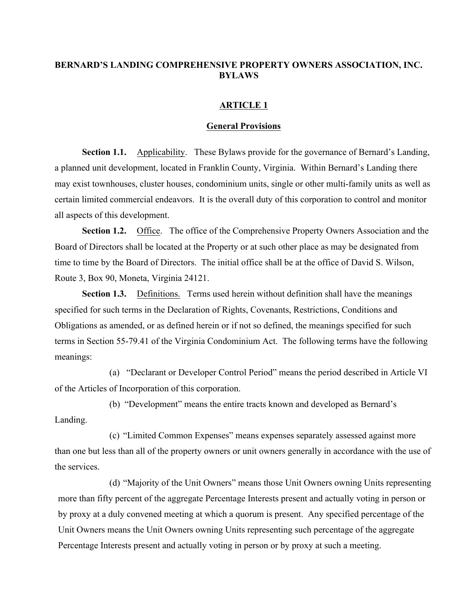## **BERNARD'S LANDING COMPREHENSIVE PROPERTY OWNERS ASSOCIATION, INC. BYLAWS**

## **ARTICLE 1**

### **General Provisions**

**Section 1.1.** Applicability. These Bylaws provide for the governance of Bernard's Landing, a planned unit development, located in Franklin County, Virginia. Within Bernard's Landing there may exist townhouses, cluster houses, condominium units, single or other multi-family units as well as certain limited commercial endeavors. It is the overall duty of this corporation to control and monitor all aspects of this development.

**Section 1.2.** Office. The office of the Comprehensive Property Owners Association and the Board of Directors shall be located at the Property or at such other place as may be designated from time to time by the Board of Directors. The initial office shall be at the office of David S. Wilson, Route 3, Box 90, Moneta, Virginia 24121.

**Section 1.3.** Definitions. Terms used herein without definition shall have the meanings specified for such terms in the Declaration of Rights, Covenants, Restrictions, Conditions and Obligations as amended, or as defined herein or if not so defined, the meanings specified for such terms in Section 55-79.41 of the Virginia Condominium Act. The following terms have the following meanings:

(a) "Declarant or Developer Control Period" means the period described in Article VI of the Articles of Incorporation of this corporation.

(b) "Development" means the entire tracts known and developed as Bernard's Landing.

(c) "Limited Common Expenses" means expenses separately assessed against more than one but less than all of the property owners or unit owners generally in accordance with the use of the services.

(d) "Majority of the Unit Owners" means those Unit Owners owning Units representing more than fifty percent of the aggregate Percentage Interests present and actually voting in person or by proxy at a duly convened meeting at which a quorum is present. Any specified percentage of the Unit Owners means the Unit Owners owning Units representing such percentage of the aggregate Percentage Interests present and actually voting in person or by proxy at such a meeting.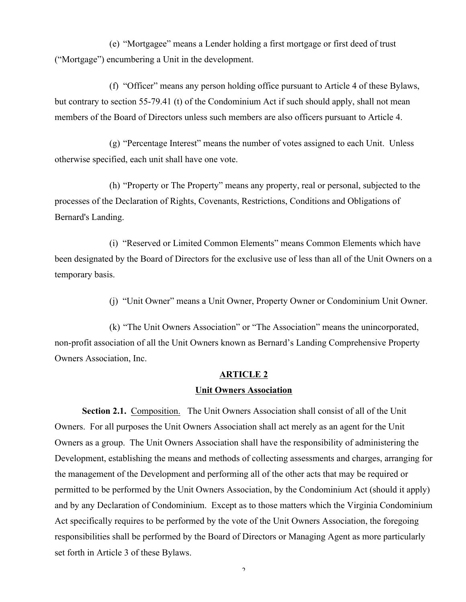(e) "Mortgagee" means a Lender holding a first mortgage or first deed of trust ("Mortgage") encumbering a Unit in the development.

(f) "Officer" means any person holding office pursuant to Article 4 of these Bylaws, but contrary to section 55-79.41 (t) of the Condominium Act if such should apply, shall not mean members of the Board of Directors unless such members are also officers pursuant to Article 4.

(g) "Percentage Interest" means the number of votes assigned to each Unit. Unless otherwise specified, each unit shall have one vote.

(h) "Property or The Property" means any property, real or personal, subjected to the processes of the Declaration of Rights, Covenants, Restrictions, Conditions and Obligations of Bernard's Landing.

(i) "Reserved or Limited Common Elements" means Common Elements which have been designated by the Board of Directors for the exclusive use of less than all of the Unit Owners on a temporary basis.

(j) "Unit Owner" means a Unit Owner, Property Owner or Condominium Unit Owner.

(k) "The Unit Owners Association" or "The Association" means the unincorporated, non-profit association of all the Unit Owners known as Bernard's Landing Comprehensive Property Owners Association, Inc.

#### **ARTICLE 2**

### **Unit Owners Association**

**Section 2.1.** Composition. The Unit Owners Association shall consist of all of the Unit Owners. For all purposes the Unit Owners Association shall act merely as an agent for the Unit Owners as a group. The Unit Owners Association shall have the responsibility of administering the Development, establishing the means and methods of collecting assessments and charges, arranging for the management of the Development and performing all of the other acts that may be required or permitted to be performed by the Unit Owners Association, by the Condominium Act (should it apply) and by any Declaration of Condominium. Except as to those matters which the Virginia Condominium Act specifically requires to be performed by the vote of the Unit Owners Association, the foregoing responsibilities shall be performed by the Board of Directors or Managing Agent as more particularly set forth in Article 3 of these Bylaws.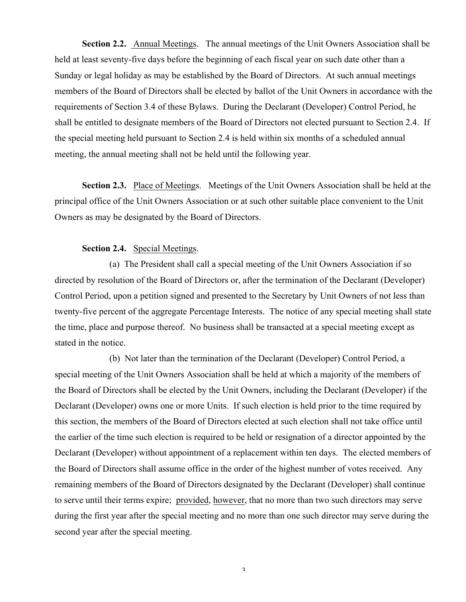**Section 2.2.** Annual Meetings. The annual meetings of the Unit Owners Association shall be held at least seventy-five days before the beginning of each fiscal year on such date other than a Sunday or legal holiday as may be established by the Board of Directors. At such annual meetings members of the Board of Directors shall be elected by ballot of the Unit Owners in accordance with the requirements of Section 3.4 of these Bylaws. During the Declarant (Developer) Control Period, he shall be entitled to designate members of the Board of Directors not elected pursuant to Section 2.4. If the special meeting held pursuant to Section 2.4 is held within six months of a scheduled annual meeting, the annual meeting shall not be held until the following year.

**Section 2.3.** Place of Meetings. Meetings of the Unit Owners Association shall be held at the principal office of the Unit Owners Association or at such other suitable place convenient to the Unit Owners as may be designated by the Board of Directors.

## **Section 2.4.** Special Meetings.

(a) The President shall call a special meeting of the Unit Owners Association if so directed by resolution of the Board of Directors or, after the termination of the Declarant (Developer) Control Period, upon a petition signed and presented to the Secretary by Unit Owners of not less than twenty-five percent of the aggregate Percentage Interests. The notice of any special meeting shall state the time, place and purpose thereof. No business shall be transacted at a special meeting except as stated in the notice.

(b) Not later than the termination of the Declarant (Developer) Control Period, a special meeting of the Unit Owners Association shall be held at which a majority of the members of the Board of Directors shall be elected by the Unit Owners, including the Declarant (Developer) if the Declarant (Developer) owns one or more Units. If such election is held prior to the time required by this section, the members of the Board of Directors elected at such election shall not take office until the earlier of the time such election is required to be held or resignation of a director appointed by the Declarant (Developer) without appointment of a replacement within ten days. The elected members of the Board of Directors shall assume office in the order of the highest number of votes received. Any remaining members of the Board of Directors designated by the Declarant (Developer) shall continue to serve until their terms expire; provided, however, that no more than two such directors may serve during the first year after the special meeting and no more than one such director may serve during the second year after the special meeting.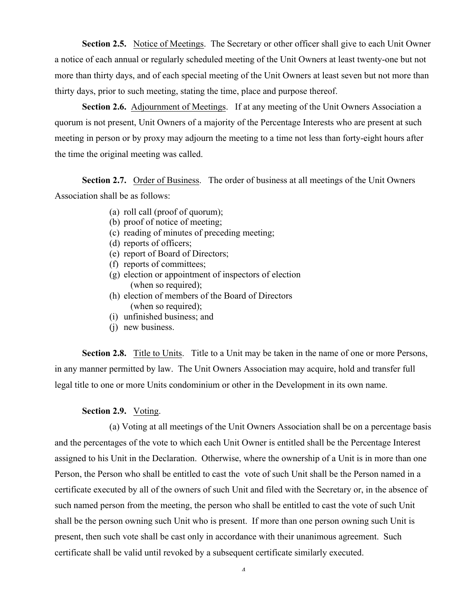**Section 2.5.** Notice of Meetings. The Secretary or other officer shall give to each Unit Owner a notice of each annual or regularly scheduled meeting of the Unit Owners at least twenty-one but not more than thirty days, and of each special meeting of the Unit Owners at least seven but not more than thirty days, prior to such meeting, stating the time, place and purpose thereof.

**Section 2.6.** Adjournment of Meetings. If at any meeting of the Unit Owners Association a quorum is not present, Unit Owners of a majority of the Percentage Interests who are present at such meeting in person or by proxy may adjourn the meeting to a time not less than forty-eight hours after the time the original meeting was called.

**Section 2.7.** Order of Business. The order of business at all meetings of the Unit Owners Association shall be as follows:

- (a) roll call (proof of quorum);
- (b) proof of notice of meeting;
- (c) reading of minutes of preceding meeting;
- (d) reports of officers;
- (e) report of Board of Directors;
- (f) reports of committees;
- (g) election or appointment of inspectors of election (when so required);
- (h) election of members of the Board of Directors (when so required);
- (i) unfinished business; and
- (i) new business.

**Section 2.8.** Title to Units. Title to a Unit may be taken in the name of one or more Persons, in any manner permitted by law. The Unit Owners Association may acquire, hold and transfer full legal title to one or more Units condominium or other in the Development in its own name.

### **Section 2.9.** Voting.

(a) Voting at all meetings of the Unit Owners Association shall be on a percentage basis and the percentages of the vote to which each Unit Owner is entitled shall be the Percentage Interest assigned to his Unit in the Declaration. Otherwise, where the ownership of a Unit is in more than one Person, the Person who shall be entitled to cast the vote of such Unit shall be the Person named in a certificate executed by all of the owners of such Unit and filed with the Secretary or, in the absence of such named person from the meeting, the person who shall be entitled to cast the vote of such Unit shall be the person owning such Unit who is present. If more than one person owning such Unit is present, then such vote shall be cast only in accordance with their unanimous agreement. Such certificate shall be valid until revoked by a subsequent certificate similarly executed.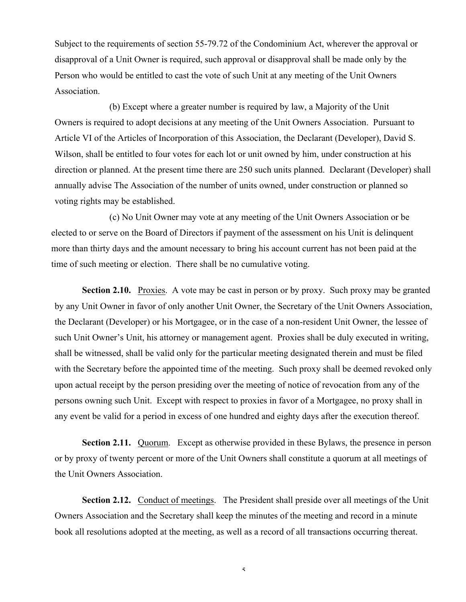Subject to the requirements of section 55-79.72 of the Condominium Act, wherever the approval or disapproval of a Unit Owner is required, such approval or disapproval shall be made only by the Person who would be entitled to cast the vote of such Unit at any meeting of the Unit Owners Association.

(b) Except where a greater number is required by law, a Majority of the Unit Owners is required to adopt decisions at any meeting of the Unit Owners Association. Pursuant to Article VI of the Articles of Incorporation of this Association, the Declarant (Developer), David S. Wilson, shall be entitled to four votes for each lot or unit owned by him, under construction at his direction or planned. At the present time there are 250 such units planned. Declarant (Developer) shall annually advise The Association of the number of units owned, under construction or planned so voting rights may be established.

(c) No Unit Owner may vote at any meeting of the Unit Owners Association or be elected to or serve on the Board of Directors if payment of the assessment on his Unit is delinquent more than thirty days and the amount necessary to bring his account current has not been paid at the time of such meeting or election. There shall be no cumulative voting.

**Section 2.10.** Proxies. A vote may be cast in person or by proxy. Such proxy may be granted by any Unit Owner in favor of only another Unit Owner, the Secretary of the Unit Owners Association, the Declarant (Developer) or his Mortgagee, or in the case of a non-resident Unit Owner, the lessee of such Unit Owner's Unit, his attorney or management agent. Proxies shall be duly executed in writing, shall be witnessed, shall be valid only for the particular meeting designated therein and must be filed with the Secretary before the appointed time of the meeting. Such proxy shall be deemed revoked only upon actual receipt by the person presiding over the meeting of notice of revocation from any of the persons owning such Unit. Except with respect to proxies in favor of a Mortgagee, no proxy shall in any event be valid for a period in excess of one hundred and eighty days after the execution thereof.

**Section 2.11.** Quorum. Except as otherwise provided in these Bylaws, the presence in person or by proxy of twenty percent or more of the Unit Owners shall constitute a quorum at all meetings of the Unit Owners Association.

Section 2.12. Conduct of meetings. The President shall preside over all meetings of the Unit Owners Association and the Secretary shall keep the minutes of the meeting and record in a minute book all resolutions adopted at the meeting, as well as a record of all transactions occurring thereat.

 $\varsigma$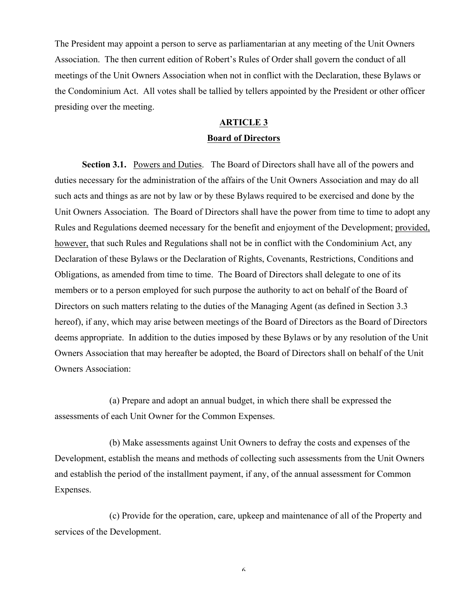The President may appoint a person to serve as parliamentarian at any meeting of the Unit Owners Association. The then current edition of Robert's Rules of Order shall govern the conduct of all meetings of the Unit Owners Association when not in conflict with the Declaration, these Bylaws or the Condominium Act. All votes shall be tallied by tellers appointed by the President or other officer presiding over the meeting.

### **ARTICLE 3**

## **Board of Directors**

**Section 3.1.** Powers and Duties. The Board of Directors shall have all of the powers and duties necessary for the administration of the affairs of the Unit Owners Association and may do all such acts and things as are not by law or by these Bylaws required to be exercised and done by the Unit Owners Association. The Board of Directors shall have the power from time to time to adopt any Rules and Regulations deemed necessary for the benefit and enjoyment of the Development; provided, however, that such Rules and Regulations shall not be in conflict with the Condominium Act, any Declaration of these Bylaws or the Declaration of Rights, Covenants, Restrictions, Conditions and Obligations, as amended from time to time. The Board of Directors shall delegate to one of its members or to a person employed for such purpose the authority to act on behalf of the Board of Directors on such matters relating to the duties of the Managing Agent (as defined in Section 3.3 hereof), if any, which may arise between meetings of the Board of Directors as the Board of Directors deems appropriate. In addition to the duties imposed by these Bylaws or by any resolution of the Unit Owners Association that may hereafter be adopted, the Board of Directors shall on behalf of the Unit Owners Association:

(a) Prepare and adopt an annual budget, in which there shall be expressed the assessments of each Unit Owner for the Common Expenses.

(b) Make assessments against Unit Owners to defray the costs and expenses of the Development, establish the means and methods of collecting such assessments from the Unit Owners and establish the period of the installment payment, if any, of the annual assessment for Common Expenses.

(c) Provide for the operation, care, upkeep and maintenance of all of the Property and services of the Development.

 $\boldsymbol{\zeta}$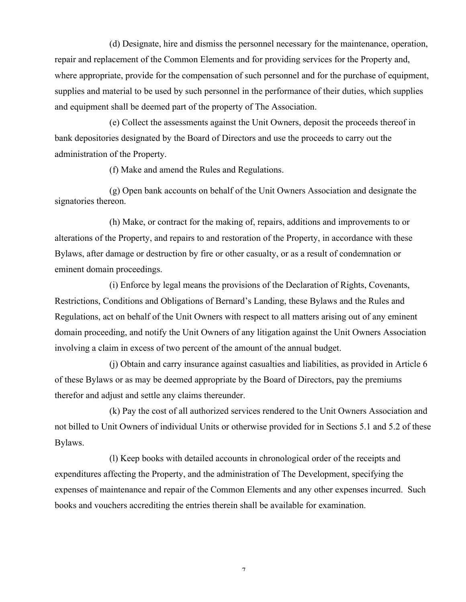(d) Designate, hire and dismiss the personnel necessary for the maintenance, operation, repair and replacement of the Common Elements and for providing services for the Property and, where appropriate, provide for the compensation of such personnel and for the purchase of equipment, supplies and material to be used by such personnel in the performance of their duties, which supplies and equipment shall be deemed part of the property of The Association.

(e) Collect the assessments against the Unit Owners, deposit the proceeds thereof in bank depositories designated by the Board of Directors and use the proceeds to carry out the administration of the Property.

(f) Make and amend the Rules and Regulations.

(g) Open bank accounts on behalf of the Unit Owners Association and designate the signatories thereon.

(h) Make, or contract for the making of, repairs, additions and improvements to or alterations of the Property, and repairs to and restoration of the Property, in accordance with these Bylaws, after damage or destruction by fire or other casualty, or as a result of condemnation or eminent domain proceedings.

(i) Enforce by legal means the provisions of the Declaration of Rights, Covenants, Restrictions, Conditions and Obligations of Bernard's Landing, these Bylaws and the Rules and Regulations, act on behalf of the Unit Owners with respect to all matters arising out of any eminent domain proceeding, and notify the Unit Owners of any litigation against the Unit Owners Association involving a claim in excess of two percent of the amount of the annual budget.

(j) Obtain and carry insurance against casualties and liabilities, as provided in Article 6 of these Bylaws or as may be deemed appropriate by the Board of Directors, pay the premiums therefor and adjust and settle any claims thereunder.

(k) Pay the cost of all authorized services rendered to the Unit Owners Association and not billed to Unit Owners of individual Units or otherwise provided for in Sections 5.1 and 5.2 of these Bylaws.

(l) Keep books with detailed accounts in chronological order of the receipts and expenditures affecting the Property, and the administration of The Development, specifying the expenses of maintenance and repair of the Common Elements and any other expenses incurred. Such books and vouchers accrediting the entries therein shall be available for examination.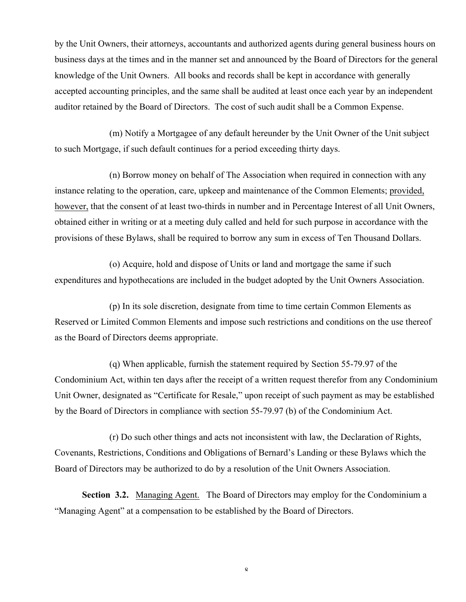by the Unit Owners, their attorneys, accountants and authorized agents during general business hours on business days at the times and in the manner set and announced by the Board of Directors for the general knowledge of the Unit Owners. All books and records shall be kept in accordance with generally accepted accounting principles, and the same shall be audited at least once each year by an independent auditor retained by the Board of Directors. The cost of such audit shall be a Common Expense.

(m) Notify a Mortgagee of any default hereunder by the Unit Owner of the Unit subject to such Mortgage, if such default continues for a period exceeding thirty days.

(n) Borrow money on behalf of The Association when required in connection with any instance relating to the operation, care, upkeep and maintenance of the Common Elements; provided, however, that the consent of at least two-thirds in number and in Percentage Interest of all Unit Owners, obtained either in writing or at a meeting duly called and held for such purpose in accordance with the provisions of these Bylaws, shall be required to borrow any sum in excess of Ten Thousand Dollars.

(o) Acquire, hold and dispose of Units or land and mortgage the same if such expenditures and hypothecations are included in the budget adopted by the Unit Owners Association.

(p) In its sole discretion, designate from time to time certain Common Elements as Reserved or Limited Common Elements and impose such restrictions and conditions on the use thereof as the Board of Directors deems appropriate.

(q) When applicable, furnish the statement required by Section 55-79.97 of the Condominium Act, within ten days after the receipt of a written request therefor from any Condominium Unit Owner, designated as "Certificate for Resale," upon receipt of such payment as may be established by the Board of Directors in compliance with section 55-79.97 (b) of the Condominium Act.

(r) Do such other things and acts not inconsistent with law, the Declaration of Rights, Covenants, Restrictions, Conditions and Obligations of Bernard's Landing or these Bylaws which the Board of Directors may be authorized to do by a resolution of the Unit Owners Association.

**Section 3.2.** Managing Agent. The Board of Directors may employ for the Condominium a "Managing Agent" at a compensation to be established by the Board of Directors.

 $\pmb{\mathsf{Q}}$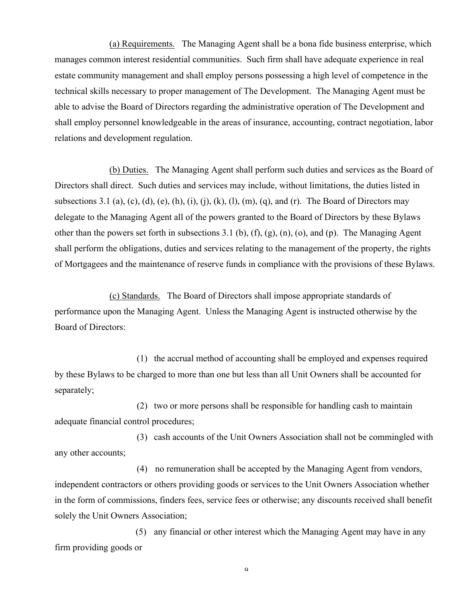(a) Requirements. The Managing Agent shall be a bona fide business enterprise, which manages common interest residential communities. Such firm shall have adequate experience in real estate community management and shall employ persons possessing a high level of competence in the technical skills necessary to proper management of The Development. The Managing Agent must be able to advise the Board of Directors regarding the administrative operation of The Development and shall employ personnel knowledgeable in the areas of insurance, accounting, contract negotiation, labor relations and development regulation.

(b) Duties. The Managing Agent shall perform such duties and services as the Board of Directors shall direct. Such duties and services may include, without limitations, the duties listed in subsections 3.1 (a), (c), (d), (e), (h), (i), (j), (k), (l), (m), (q), and (r). The Board of Directors may delegate to the Managing Agent all of the powers granted to the Board of Directors by these Bylaws other than the powers set forth in subsections 3.1 (b), (f), (g), (n), (o), and (p). The Managing Agent shall perform the obligations, duties and services relating to the management of the property, the rights of Mortgagees and the maintenance of reserve funds in compliance with the provisions of these Bylaws.

(c) Standards. The Board of Directors shall impose appropriate standards of performance upon the Managing Agent. Unless the Managing Agent is instructed otherwise by the Board of Directors:

(1) the accrual method of accounting shall be employed and expenses required by these Bylaws to be charged to more than one but less than all Unit Owners shall be accounted for separately;

(2) two or more persons shall be responsible for handling cash to maintain adequate financial control procedures;

(3) cash accounts of the Unit Owners Association shall not be commingled with any other accounts;

(4) no remuneration shall be accepted by the Managing Agent from vendors, independent contractors or others providing goods or services to the Unit Owners Association whether in the form of commissions, finders fees, service fees or otherwise; any discounts received shall benefit solely the Unit Owners Association;

(5) any financial or other interest which the Managing Agent may have in any firm providing goods or

 $\Omega$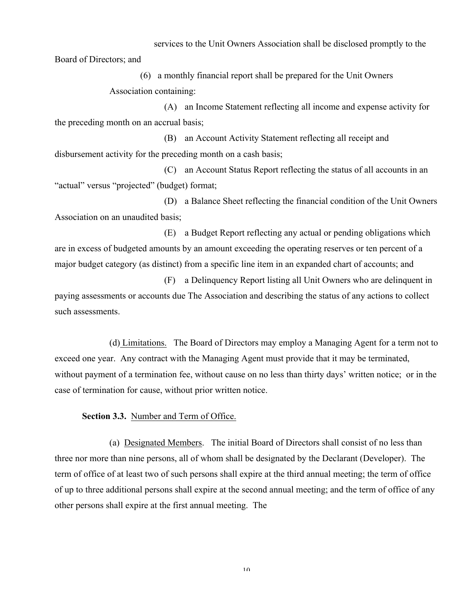services to the Unit Owners Association shall be disclosed promptly to the

Board of Directors; and

(6) a monthly financial report shall be prepared for the Unit Owners Association containing:

(A) an Income Statement reflecting all income and expense activity for the preceding month on an accrual basis;

(B) an Account Activity Statement reflecting all receipt and disbursement activity for the preceding month on a cash basis;

(C) an Account Status Report reflecting the status of all accounts in an "actual" versus "projected" (budget) format;

(D) a Balance Sheet reflecting the financial condition of the Unit Owners Association on an unaudited basis;

(E) a Budget Report reflecting any actual or pending obligations which are in excess of budgeted amounts by an amount exceeding the operating reserves or ten percent of a major budget category (as distinct) from a specific line item in an expanded chart of accounts; and

(F) a Delinquency Report listing all Unit Owners who are delinquent in paying assessments or accounts due The Association and describing the status of any actions to collect such assessments.

(d) Limitations. The Board of Directors may employ a Managing Agent for a term not to exceed one year. Any contract with the Managing Agent must provide that it may be terminated, without payment of a termination fee, without cause on no less than thirty days' written notice; or in the case of termination for cause, without prior written notice.

**Section 3.3.** Number and Term of Office.

(a) Designated Members. The initial Board of Directors shall consist of no less than three nor more than nine persons, all of whom shall be designated by the Declarant (Developer). The term of office of at least two of such persons shall expire at the third annual meeting; the term of office of up to three additional persons shall expire at the second annual meeting; and the term of office of any other persons shall expire at the first annual meeting. The

 $1<sub>0</sub>$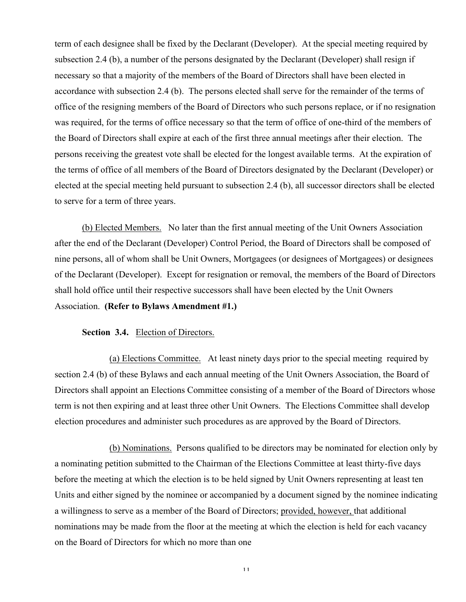term of each designee shall be fixed by the Declarant (Developer). At the special meeting required by subsection 2.4 (b), a number of the persons designated by the Declarant (Developer) shall resign if necessary so that a majority of the members of the Board of Directors shall have been elected in accordance with subsection 2.4 (b). The persons elected shall serve for the remainder of the terms of office of the resigning members of the Board of Directors who such persons replace, or if no resignation was required, for the terms of office necessary so that the term of office of one-third of the members of the Board of Directors shall expire at each of the first three annual meetings after their election. The persons receiving the greatest vote shall be elected for the longest available terms. At the expiration of the terms of office of all members of the Board of Directors designated by the Declarant (Developer) or elected at the special meeting held pursuant to subsection 2.4 (b), all successor directors shall be elected to serve for a term of three years.

(b) Elected Members. No later than the first annual meeting of the Unit Owners Association after the end of the Declarant (Developer) Control Period, the Board of Directors shall be composed of nine persons, all of whom shall be Unit Owners, Mortgagees (or designees of Mortgagees) or designees of the Declarant (Developer). Except for resignation or removal, the members of the Board of Directors shall hold office until their respective successors shall have been elected by the Unit Owners Association. **(Refer to Bylaws Amendment #1.)**

## **Section 3.4.** Election of Directors.

(a) Elections Committee. At least ninety days prior to the special meeting required by section 2.4 (b) of these Bylaws and each annual meeting of the Unit Owners Association, the Board of Directors shall appoint an Elections Committee consisting of a member of the Board of Directors whose term is not then expiring and at least three other Unit Owners. The Elections Committee shall develop election procedures and administer such procedures as are approved by the Board of Directors.

(b) Nominations. Persons qualified to be directors may be nominated for election only by a nominating petition submitted to the Chairman of the Elections Committee at least thirty-five days before the meeting at which the election is to be held signed by Unit Owners representing at least ten Units and either signed by the nominee or accompanied by a document signed by the nominee indicating a willingness to serve as a member of the Board of Directors; provided, however, that additional nominations may be made from the floor at the meeting at which the election is held for each vacancy on the Board of Directors for which no more than one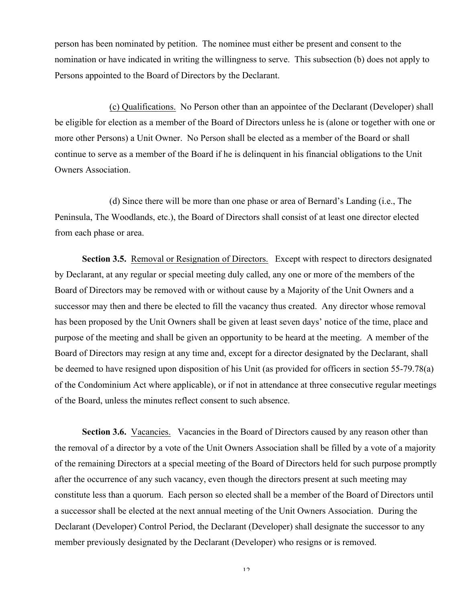person has been nominated by petition. The nominee must either be present and consent to the nomination or have indicated in writing the willingness to serve. This subsection (b) does not apply to Persons appointed to the Board of Directors by the Declarant.

(c) Qualifications. No Person other than an appointee of the Declarant (Developer) shall be eligible for election as a member of the Board of Directors unless he is (alone or together with one or more other Persons) a Unit Owner. No Person shall be elected as a member of the Board or shall continue to serve as a member of the Board if he is delinquent in his financial obligations to the Unit Owners Association.

(d) Since there will be more than one phase or area of Bernard's Landing (i.e., The Peninsula, The Woodlands, etc.), the Board of Directors shall consist of at least one director elected from each phase or area.

**Section 3.5.** Removal or Resignation of Directors. Except with respect to directors designated by Declarant, at any regular or special meeting duly called, any one or more of the members of the Board of Directors may be removed with or without cause by a Majority of the Unit Owners and a successor may then and there be elected to fill the vacancy thus created. Any director whose removal has been proposed by the Unit Owners shall be given at least seven days' notice of the time, place and purpose of the meeting and shall be given an opportunity to be heard at the meeting. A member of the Board of Directors may resign at any time and, except for a director designated by the Declarant, shall be deemed to have resigned upon disposition of his Unit (as provided for officers in section 55-79.78(a) of the Condominium Act where applicable), or if not in attendance at three consecutive regular meetings of the Board, unless the minutes reflect consent to such absence.

**Section 3.6.** Vacancies. Vacancies in the Board of Directors caused by any reason other than the removal of a director by a vote of the Unit Owners Association shall be filled by a vote of a majority of the remaining Directors at a special meeting of the Board of Directors held for such purpose promptly after the occurrence of any such vacancy, even though the directors present at such meeting may constitute less than a quorum. Each person so elected shall be a member of the Board of Directors until a successor shall be elected at the next annual meeting of the Unit Owners Association. During the Declarant (Developer) Control Period, the Declarant (Developer) shall designate the successor to any member previously designated by the Declarant (Developer) who resigns or is removed.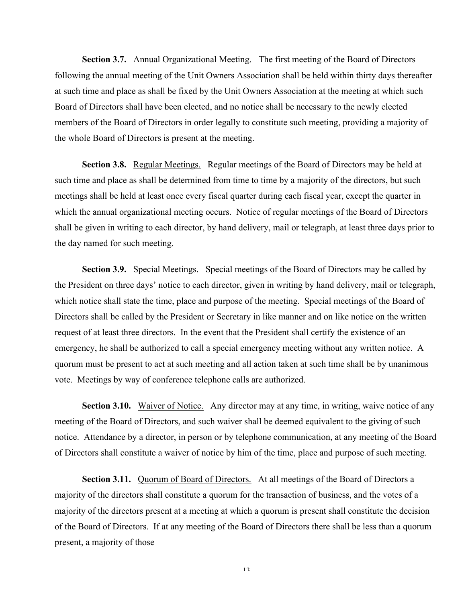**Section 3.7.** Annual Organizational Meeting. The first meeting of the Board of Directors following the annual meeting of the Unit Owners Association shall be held within thirty days thereafter at such time and place as shall be fixed by the Unit Owners Association at the meeting at which such Board of Directors shall have been elected, and no notice shall be necessary to the newly elected members of the Board of Directors in order legally to constitute such meeting, providing a majority of the whole Board of Directors is present at the meeting.

**Section 3.8.** Regular Meetings. Regular meetings of the Board of Directors may be held at such time and place as shall be determined from time to time by a majority of the directors, but such meetings shall be held at least once every fiscal quarter during each fiscal year, except the quarter in which the annual organizational meeting occurs. Notice of regular meetings of the Board of Directors shall be given in writing to each director, by hand delivery, mail or telegraph, at least three days prior to the day named for such meeting.

**Section 3.9.** Special Meetings. Special meetings of the Board of Directors may be called by the President on three days' notice to each director, given in writing by hand delivery, mail or telegraph, which notice shall state the time, place and purpose of the meeting. Special meetings of the Board of Directors shall be called by the President or Secretary in like manner and on like notice on the written request of at least three directors. In the event that the President shall certify the existence of an emergency, he shall be authorized to call a special emergency meeting without any written notice. A quorum must be present to act at such meeting and all action taken at such time shall be by unanimous vote. Meetings by way of conference telephone calls are authorized.

**Section 3.10.** Waiver of Notice. Any director may at any time, in writing, waive notice of any meeting of the Board of Directors, and such waiver shall be deemed equivalent to the giving of such notice. Attendance by a director, in person or by telephone communication, at any meeting of the Board of Directors shall constitute a waiver of notice by him of the time, place and purpose of such meeting.

**Section 3.11.** Quorum of Board of Directors. At all meetings of the Board of Directors a majority of the directors shall constitute a quorum for the transaction of business, and the votes of a majority of the directors present at a meeting at which a quorum is present shall constitute the decision of the Board of Directors. If at any meeting of the Board of Directors there shall be less than a quorum present, a majority of those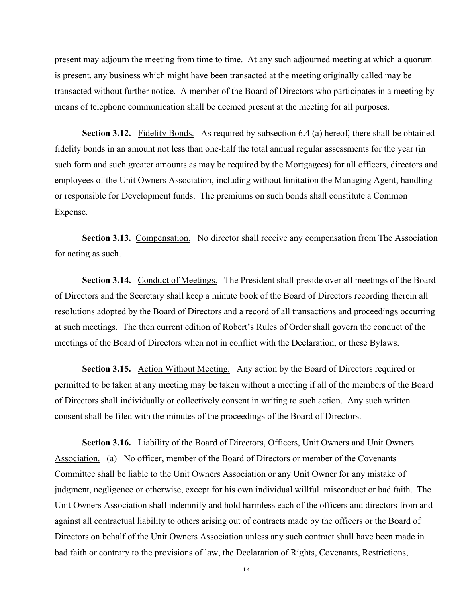present may adjourn the meeting from time to time. At any such adjourned meeting at which a quorum is present, any business which might have been transacted at the meeting originally called may be transacted without further notice. A member of the Board of Directors who participates in a meeting by means of telephone communication shall be deemed present at the meeting for all purposes.

**Section 3.12.** Fidelity Bonds. As required by subsection 6.4 (a) hereof, there shall be obtained fidelity bonds in an amount not less than one-half the total annual regular assessments for the year (in such form and such greater amounts as may be required by the Mortgagees) for all officers, directors and employees of the Unit Owners Association, including without limitation the Managing Agent, handling or responsible for Development funds. The premiums on such bonds shall constitute a Common Expense.

**Section 3.13.** Compensation. No director shall receive any compensation from The Association for acting as such.

**Section 3.14.** Conduct of Meetings. The President shall preside over all meetings of the Board of Directors and the Secretary shall keep a minute book of the Board of Directors recording therein all resolutions adopted by the Board of Directors and a record of all transactions and proceedings occurring at such meetings. The then current edition of Robert's Rules of Order shall govern the conduct of the meetings of the Board of Directors when not in conflict with the Declaration, or these Bylaws.

**Section 3.15.** Action Without Meeting. Any action by the Board of Directors required or permitted to be taken at any meeting may be taken without a meeting if all of the members of the Board of Directors shall individually or collectively consent in writing to such action. Any such written consent shall be filed with the minutes of the proceedings of the Board of Directors.

**Section 3.16.** Liability of the Board of Directors, Officers, Unit Owners and Unit Owners Association. (a) No officer, member of the Board of Directors or member of the Covenants Committee shall be liable to the Unit Owners Association or any Unit Owner for any mistake of judgment, negligence or otherwise, except for his own individual willful misconduct or bad faith. The Unit Owners Association shall indemnify and hold harmless each of the officers and directors from and against all contractual liability to others arising out of contracts made by the officers or the Board of Directors on behalf of the Unit Owners Association unless any such contract shall have been made in bad faith or contrary to the provisions of law, the Declaration of Rights, Covenants, Restrictions,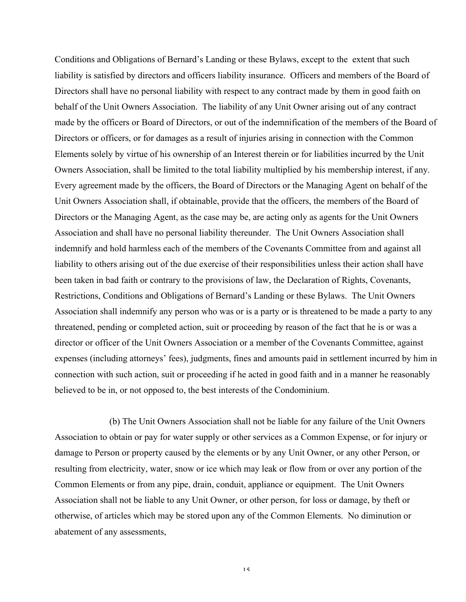Conditions and Obligations of Bernard's Landing or these Bylaws, except to the extent that such liability is satisfied by directors and officers liability insurance. Officers and members of the Board of Directors shall have no personal liability with respect to any contract made by them in good faith on behalf of the Unit Owners Association. The liability of any Unit Owner arising out of any contract made by the officers or Board of Directors, or out of the indemnification of the members of the Board of Directors or officers, or for damages as a result of injuries arising in connection with the Common Elements solely by virtue of his ownership of an Interest therein or for liabilities incurred by the Unit Owners Association, shall be limited to the total liability multiplied by his membership interest, if any. Every agreement made by the officers, the Board of Directors or the Managing Agent on behalf of the Unit Owners Association shall, if obtainable, provide that the officers, the members of the Board of Directors or the Managing Agent, as the case may be, are acting only as agents for the Unit Owners Association and shall have no personal liability thereunder. The Unit Owners Association shall indemnify and hold harmless each of the members of the Covenants Committee from and against all liability to others arising out of the due exercise of their responsibilities unless their action shall have been taken in bad faith or contrary to the provisions of law, the Declaration of Rights, Covenants, Restrictions, Conditions and Obligations of Bernard's Landing or these Bylaws. The Unit Owners Association shall indemnify any person who was or is a party or is threatened to be made a party to any threatened, pending or completed action, suit or proceeding by reason of the fact that he is or was a director or officer of the Unit Owners Association or a member of the Covenants Committee, against expenses (including attorneys' fees), judgments, fines and amounts paid in settlement incurred by him in connection with such action, suit or proceeding if he acted in good faith and in a manner he reasonably believed to be in, or not opposed to, the best interests of the Condominium.

(b) The Unit Owners Association shall not be liable for any failure of the Unit Owners Association to obtain or pay for water supply or other services as a Common Expense, or for injury or damage to Person or property caused by the elements or by any Unit Owner, or any other Person, or resulting from electricity, water, snow or ice which may leak or flow from or over any portion of the Common Elements or from any pipe, drain, conduit, appliance or equipment. The Unit Owners Association shall not be liable to any Unit Owner, or other person, for loss or damage, by theft or otherwise, of articles which may be stored upon any of the Common Elements. No diminution or abatement of any assessments,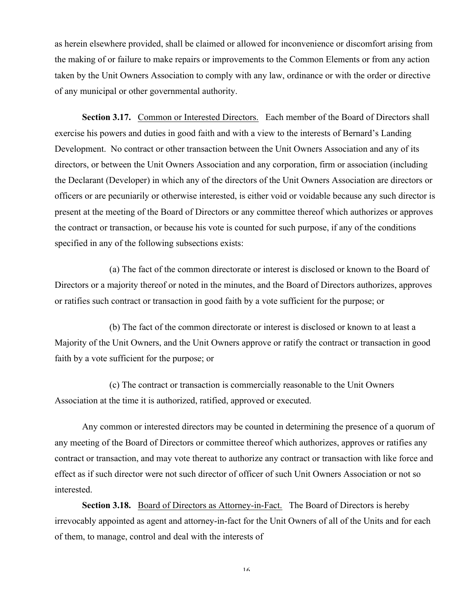as herein elsewhere provided, shall be claimed or allowed for inconvenience or discomfort arising from the making of or failure to make repairs or improvements to the Common Elements or from any action taken by the Unit Owners Association to comply with any law, ordinance or with the order or directive of any municipal or other governmental authority.

**Section 3.17.** Common or Interested Directors. Each member of the Board of Directors shall exercise his powers and duties in good faith and with a view to the interests of Bernard's Landing Development. No contract or other transaction between the Unit Owners Association and any of its directors, or between the Unit Owners Association and any corporation, firm or association (including the Declarant (Developer) in which any of the directors of the Unit Owners Association are directors or officers or are pecuniarily or otherwise interested, is either void or voidable because any such director is present at the meeting of the Board of Directors or any committee thereof which authorizes or approves the contract or transaction, or because his vote is counted for such purpose, if any of the conditions specified in any of the following subsections exists:

(a) The fact of the common directorate or interest is disclosed or known to the Board of Directors or a majority thereof or noted in the minutes, and the Board of Directors authorizes, approves or ratifies such contract or transaction in good faith by a vote sufficient for the purpose; or

(b) The fact of the common directorate or interest is disclosed or known to at least a Majority of the Unit Owners, and the Unit Owners approve or ratify the contract or transaction in good faith by a vote sufficient for the purpose; or

(c) The contract or transaction is commercially reasonable to the Unit Owners Association at the time it is authorized, ratified, approved or executed.

Any common or interested directors may be counted in determining the presence of a quorum of any meeting of the Board of Directors or committee thereof which authorizes, approves or ratifies any contract or transaction, and may vote thereat to authorize any contract or transaction with like force and effect as if such director were not such director of officer of such Unit Owners Association or not so interested.

**Section 3.18.** Board of Directors as Attorney-in-Fact. The Board of Directors is hereby irrevocably appointed as agent and attorney-in-fact for the Unit Owners of all of the Units and for each of them, to manage, control and deal with the interests of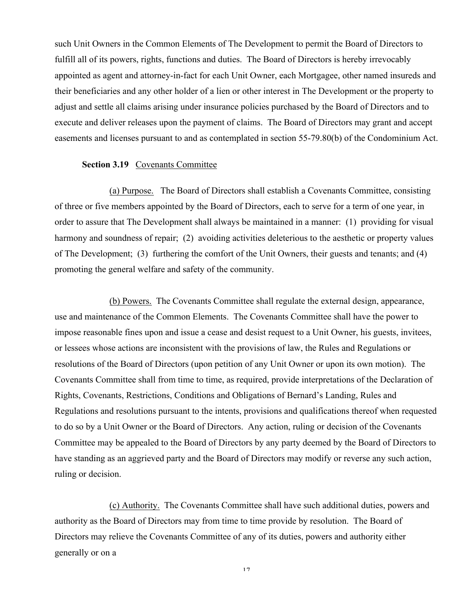such Unit Owners in the Common Elements of The Development to permit the Board of Directors to fulfill all of its powers, rights, functions and duties. The Board of Directors is hereby irrevocably appointed as agent and attorney-in-fact for each Unit Owner, each Mortgagee, other named insureds and their beneficiaries and any other holder of a lien or other interest in The Development or the property to adjust and settle all claims arising under insurance policies purchased by the Board of Directors and to execute and deliver releases upon the payment of claims. The Board of Directors may grant and accept easements and licenses pursuant to and as contemplated in section 55-79.80(b) of the Condominium Act.

## **Section 3.19** Covenants Committee

(a) Purpose. The Board of Directors shall establish a Covenants Committee, consisting of three or five members appointed by the Board of Directors, each to serve for a term of one year, in order to assure that The Development shall always be maintained in a manner: (1) providing for visual harmony and soundness of repair; (2) avoiding activities deleterious to the aesthetic or property values of The Development; (3) furthering the comfort of the Unit Owners, their guests and tenants; and (4) promoting the general welfare and safety of the community.

(b) Powers. The Covenants Committee shall regulate the external design, appearance, use and maintenance of the Common Elements. The Covenants Committee shall have the power to impose reasonable fines upon and issue a cease and desist request to a Unit Owner, his guests, invitees, or lessees whose actions are inconsistent with the provisions of law, the Rules and Regulations or resolutions of the Board of Directors (upon petition of any Unit Owner or upon its own motion). The Covenants Committee shall from time to time, as required, provide interpretations of the Declaration of Rights, Covenants, Restrictions, Conditions and Obligations of Bernard's Landing, Rules and Regulations and resolutions pursuant to the intents, provisions and qualifications thereof when requested to do so by a Unit Owner or the Board of Directors. Any action, ruling or decision of the Covenants Committee may be appealed to the Board of Directors by any party deemed by the Board of Directors to have standing as an aggrieved party and the Board of Directors may modify or reverse any such action, ruling or decision.

(c) Authority. The Covenants Committee shall have such additional duties, powers and authority as the Board of Directors may from time to time provide by resolution. The Board of Directors may relieve the Covenants Committee of any of its duties, powers and authority either generally or on a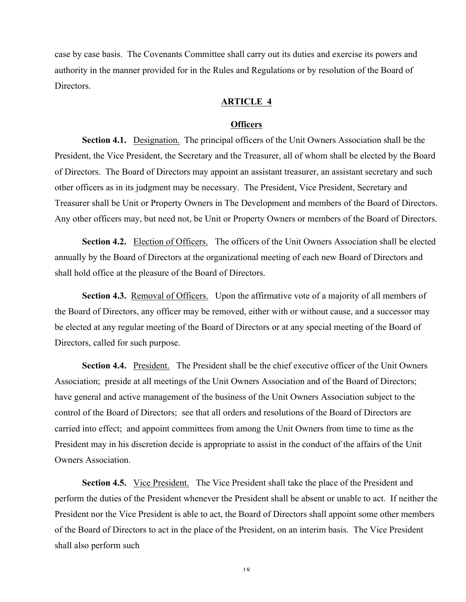case by case basis. The Covenants Committee shall carry out its duties and exercise its powers and authority in the manner provided for in the Rules and Regulations or by resolution of the Board of **Directors** 

## **ARTICLE 4**

#### **Officers**

**Section 4.1.** Designation. The principal officers of the Unit Owners Association shall be the President, the Vice President, the Secretary and the Treasurer, all of whom shall be elected by the Board of Directors. The Board of Directors may appoint an assistant treasurer, an assistant secretary and such other officers as in its judgment may be necessary. The President, Vice President, Secretary and Treasurer shall be Unit or Property Owners in The Development and members of the Board of Directors. Any other officers may, but need not, be Unit or Property Owners or members of the Board of Directors.

**Section 4.2.** Election of Officers. The officers of the Unit Owners Association shall be elected annually by the Board of Directors at the organizational meeting of each new Board of Directors and shall hold office at the pleasure of the Board of Directors.

**Section 4.3.** Removal of Officers. Upon the affirmative vote of a majority of all members of the Board of Directors, any officer may be removed, either with or without cause, and a successor may be elected at any regular meeting of the Board of Directors or at any special meeting of the Board of Directors, called for such purpose.

**Section 4.4.** President. The President shall be the chief executive officer of the Unit Owners Association; preside at all meetings of the Unit Owners Association and of the Board of Directors; have general and active management of the business of the Unit Owners Association subject to the control of the Board of Directors; see that all orders and resolutions of the Board of Directors are carried into effect; and appoint committees from among the Unit Owners from time to time as the President may in his discretion decide is appropriate to assist in the conduct of the affairs of the Unit Owners Association.

**Section 4.5.** Vice President. The Vice President shall take the place of the President and perform the duties of the President whenever the President shall be absent or unable to act. If neither the President nor the Vice President is able to act, the Board of Directors shall appoint some other members of the Board of Directors to act in the place of the President, on an interim basis. The Vice President shall also perform such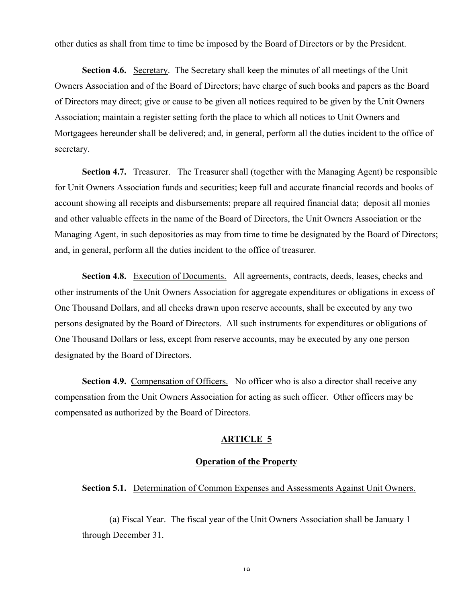other duties as shall from time to time be imposed by the Board of Directors or by the President.

**Section 4.6.** Secretary. The Secretary shall keep the minutes of all meetings of the Unit Owners Association and of the Board of Directors; have charge of such books and papers as the Board of Directors may direct; give or cause to be given all notices required to be given by the Unit Owners Association; maintain a register setting forth the place to which all notices to Unit Owners and Mortgagees hereunder shall be delivered; and, in general, perform all the duties incident to the office of secretary.

**Section 4.7.** Treasurer. The Treasurer shall (together with the Managing Agent) be responsible for Unit Owners Association funds and securities; keep full and accurate financial records and books of account showing all receipts and disbursements; prepare all required financial data; deposit all monies and other valuable effects in the name of the Board of Directors, the Unit Owners Association or the Managing Agent, in such depositories as may from time to time be designated by the Board of Directors; and, in general, perform all the duties incident to the office of treasurer.

**Section 4.8.** Execution of Documents. All agreements, contracts, deeds, leases, checks and other instruments of the Unit Owners Association for aggregate expenditures or obligations in excess of One Thousand Dollars, and all checks drawn upon reserve accounts, shall be executed by any two persons designated by the Board of Directors. All such instruments for expenditures or obligations of One Thousand Dollars or less, except from reserve accounts, may be executed by any one person designated by the Board of Directors.

**Section 4.9.** Compensation of Officers. No officer who is also a director shall receive any compensation from the Unit Owners Association for acting as such officer. Other officers may be compensated as authorized by the Board of Directors.

## **ARTICLE 5**

### **Operation of the Property**

### **Section 5.1.** Determination of Common Expenses and Assessments Against Unit Owners.

(a) Fiscal Year. The fiscal year of the Unit Owners Association shall be January 1 through December 31.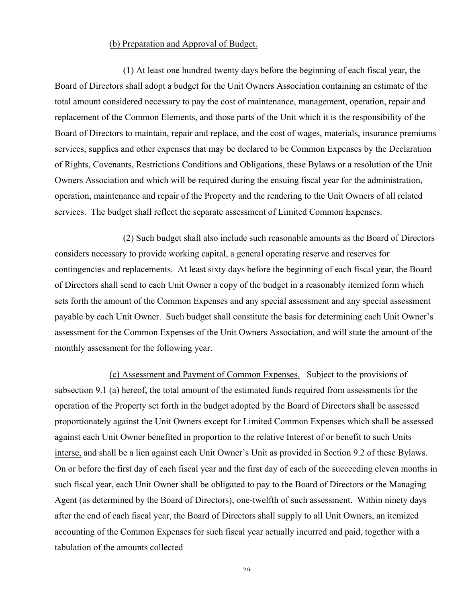#### (b) Preparation and Approval of Budget.

(1) At least one hundred twenty days before the beginning of each fiscal year, the Board of Directors shall adopt a budget for the Unit Owners Association containing an estimate of the total amount considered necessary to pay the cost of maintenance, management, operation, repair and replacement of the Common Elements, and those parts of the Unit which it is the responsibility of the Board of Directors to maintain, repair and replace, and the cost of wages, materials, insurance premiums services, supplies and other expenses that may be declared to be Common Expenses by the Declaration of Rights, Covenants, Restrictions Conditions and Obligations, these Bylaws or a resolution of the Unit Owners Association and which will be required during the ensuing fiscal year for the administration, operation, maintenance and repair of the Property and the rendering to the Unit Owners of all related services. The budget shall reflect the separate assessment of Limited Common Expenses.

(2) Such budget shall also include such reasonable amounts as the Board of Directors considers necessary to provide working capital, a general operating reserve and reserves for contingencies and replacements. At least sixty days before the beginning of each fiscal year, the Board of Directors shall send to each Unit Owner a copy of the budget in a reasonably itemized form which sets forth the amount of the Common Expenses and any special assessment and any special assessment payable by each Unit Owner. Such budget shall constitute the basis for determining each Unit Owner's assessment for the Common Expenses of the Unit Owners Association, and will state the amount of the monthly assessment for the following year.

(c) Assessment and Payment of Common Expenses. Subject to the provisions of subsection 9.1 (a) hereof, the total amount of the estimated funds required from assessments for the operation of the Property set forth in the budget adopted by the Board of Directors shall be assessed proportionately against the Unit Owners except for Limited Common Expenses which shall be assessed against each Unit Owner benefited in proportion to the relative Interest of or benefit to such Units interse, and shall be a lien against each Unit Owner's Unit as provided in Section 9.2 of these Bylaws. On or before the first day of each fiscal year and the first day of each of the succeeding eleven months in such fiscal year, each Unit Owner shall be obligated to pay to the Board of Directors or the Managing Agent (as determined by the Board of Directors), one-twelfth of such assessment. Within ninety days after the end of each fiscal year, the Board of Directors shall supply to all Unit Owners, an itemized accounting of the Common Expenses for such fiscal year actually incurred and paid, together with a tabulation of the amounts collected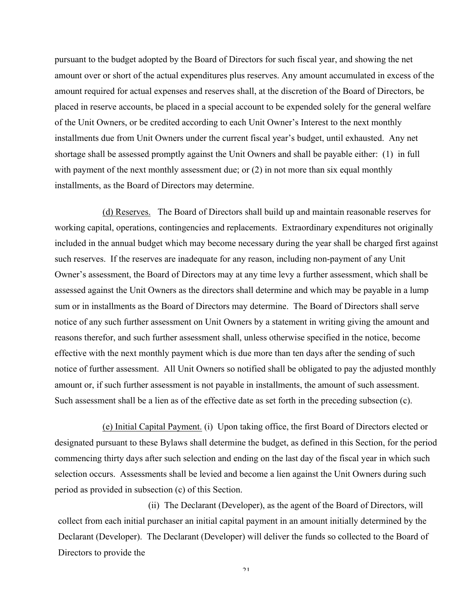pursuant to the budget adopted by the Board of Directors for such fiscal year, and showing the net amount over or short of the actual expenditures plus reserves. Any amount accumulated in excess of the amount required for actual expenses and reserves shall, at the discretion of the Board of Directors, be placed in reserve accounts, be placed in a special account to be expended solely for the general welfare of the Unit Owners, or be credited according to each Unit Owner's Interest to the next monthly installments due from Unit Owners under the current fiscal year's budget, until exhausted. Any net shortage shall be assessed promptly against the Unit Owners and shall be payable either: (1) in full with payment of the next monthly assessment due; or  $(2)$  in not more than six equal monthly installments, as the Board of Directors may determine.

(d) Reserves. The Board of Directors shall build up and maintain reasonable reserves for working capital, operations, contingencies and replacements. Extraordinary expenditures not originally included in the annual budget which may become necessary during the year shall be charged first against such reserves. If the reserves are inadequate for any reason, including non-payment of any Unit Owner's assessment, the Board of Directors may at any time levy a further assessment, which shall be assessed against the Unit Owners as the directors shall determine and which may be payable in a lump sum or in installments as the Board of Directors may determine. The Board of Directors shall serve notice of any such further assessment on Unit Owners by a statement in writing giving the amount and reasons therefor, and such further assessment shall, unless otherwise specified in the notice, become effective with the next monthly payment which is due more than ten days after the sending of such notice of further assessment. All Unit Owners so notified shall be obligated to pay the adjusted monthly amount or, if such further assessment is not payable in installments, the amount of such assessment. Such assessment shall be a lien as of the effective date as set forth in the preceding subsection (c).

(e) Initial Capital Payment. (i) Upon taking office, the first Board of Directors elected or designated pursuant to these Bylaws shall determine the budget, as defined in this Section, for the period commencing thirty days after such selection and ending on the last day of the fiscal year in which such selection occurs. Assessments shall be levied and become a lien against the Unit Owners during such period as provided in subsection (c) of this Section.

(ii) The Declarant (Developer), as the agent of the Board of Directors, will collect from each initial purchaser an initial capital payment in an amount initially determined by the Declarant (Developer). The Declarant (Developer) will deliver the funds so collected to the Board of Directors to provide the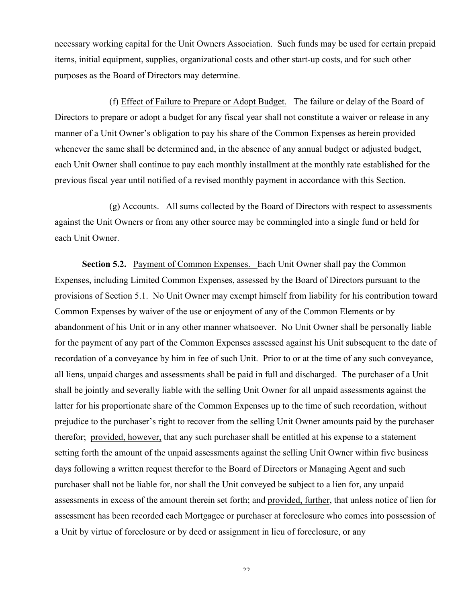necessary working capital for the Unit Owners Association. Such funds may be used for certain prepaid items, initial equipment, supplies, organizational costs and other start-up costs, and for such other purposes as the Board of Directors may determine.

(f) Effect of Failure to Prepare or Adopt Budget. The failure or delay of the Board of Directors to prepare or adopt a budget for any fiscal year shall not constitute a waiver or release in any manner of a Unit Owner's obligation to pay his share of the Common Expenses as herein provided whenever the same shall be determined and, in the absence of any annual budget or adjusted budget, each Unit Owner shall continue to pay each monthly installment at the monthly rate established for the previous fiscal year until notified of a revised monthly payment in accordance with this Section.

(g) Accounts. All sums collected by the Board of Directors with respect to assessments against the Unit Owners or from any other source may be commingled into a single fund or held for each Unit Owner.

**Section 5.2.** Payment of Common Expenses. Each Unit Owner shall pay the Common Expenses, including Limited Common Expenses, assessed by the Board of Directors pursuant to the provisions of Section 5.1. No Unit Owner may exempt himself from liability for his contribution toward Common Expenses by waiver of the use or enjoyment of any of the Common Elements or by abandonment of his Unit or in any other manner whatsoever. No Unit Owner shall be personally liable for the payment of any part of the Common Expenses assessed against his Unit subsequent to the date of recordation of a conveyance by him in fee of such Unit. Prior to or at the time of any such conveyance, all liens, unpaid charges and assessments shall be paid in full and discharged. The purchaser of a Unit shall be jointly and severally liable with the selling Unit Owner for all unpaid assessments against the latter for his proportionate share of the Common Expenses up to the time of such recordation, without prejudice to the purchaser's right to recover from the selling Unit Owner amounts paid by the purchaser therefor; provided, however, that any such purchaser shall be entitled at his expense to a statement setting forth the amount of the unpaid assessments against the selling Unit Owner within five business days following a written request therefor to the Board of Directors or Managing Agent and such purchaser shall not be liable for, nor shall the Unit conveyed be subject to a lien for, any unpaid assessments in excess of the amount therein set forth; and provided, further, that unless notice of lien for assessment has been recorded each Mortgagee or purchaser at foreclosure who comes into possession of a Unit by virtue of foreclosure or by deed or assignment in lieu of foreclosure, or any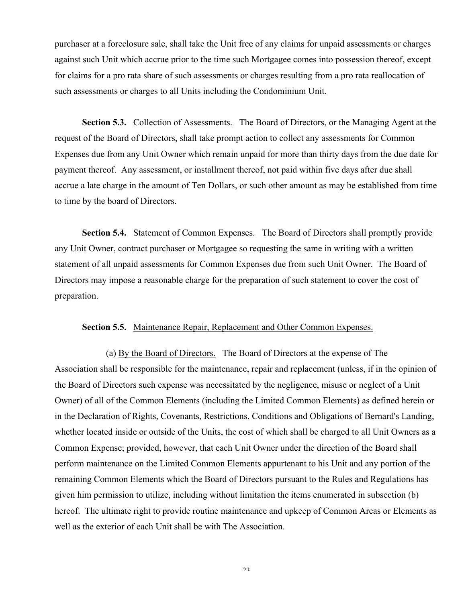purchaser at a foreclosure sale, shall take the Unit free of any claims for unpaid assessments or charges against such Unit which accrue prior to the time such Mortgagee comes into possession thereof, except for claims for a pro rata share of such assessments or charges resulting from a pro rata reallocation of such assessments or charges to all Units including the Condominium Unit.

**Section 5.3.** Collection of Assessments. The Board of Directors, or the Managing Agent at the request of the Board of Directors, shall take prompt action to collect any assessments for Common Expenses due from any Unit Owner which remain unpaid for more than thirty days from the due date for payment thereof. Any assessment, or installment thereof, not paid within five days after due shall accrue a late charge in the amount of Ten Dollars, or such other amount as may be established from time to time by the board of Directors.

**Section 5.4.** Statement of Common Expenses. The Board of Directors shall promptly provide any Unit Owner, contract purchaser or Mortgagee so requesting the same in writing with a written statement of all unpaid assessments for Common Expenses due from such Unit Owner. The Board of Directors may impose a reasonable charge for the preparation of such statement to cover the cost of preparation.

### **Section 5.5.** Maintenance Repair, Replacement and Other Common Expenses.

(a) By the Board of Directors. The Board of Directors at the expense of The Association shall be responsible for the maintenance, repair and replacement (unless, if in the opinion of the Board of Directors such expense was necessitated by the negligence, misuse or neglect of a Unit Owner) of all of the Common Elements (including the Limited Common Elements) as defined herein or in the Declaration of Rights, Covenants, Restrictions, Conditions and Obligations of Bernard's Landing, whether located inside or outside of the Units, the cost of which shall be charged to all Unit Owners as a Common Expense; provided, however, that each Unit Owner under the direction of the Board shall perform maintenance on the Limited Common Elements appurtenant to his Unit and any portion of the remaining Common Elements which the Board of Directors pursuant to the Rules and Regulations has given him permission to utilize, including without limitation the items enumerated in subsection (b) hereof. The ultimate right to provide routine maintenance and upkeep of Common Areas or Elements as well as the exterior of each Unit shall be with The Association.

 $2<sub>2</sub>$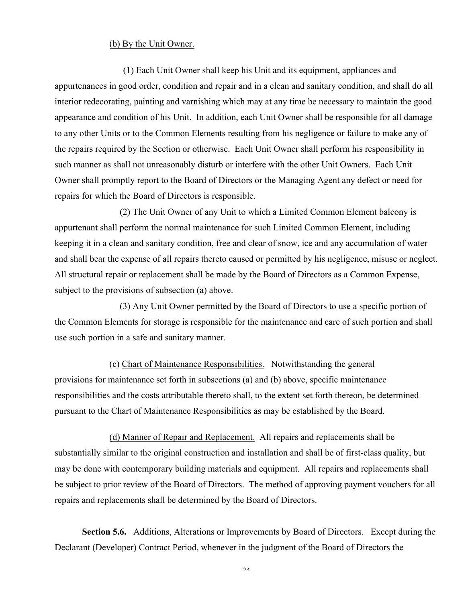#### (b) By the Unit Owner.

(1) Each Unit Owner shall keep his Unit and its equipment, appliances and appurtenances in good order, condition and repair and in a clean and sanitary condition, and shall do all interior redecorating, painting and varnishing which may at any time be necessary to maintain the good appearance and condition of his Unit. In addition, each Unit Owner shall be responsible for all damage to any other Units or to the Common Elements resulting from his negligence or failure to make any of the repairs required by the Section or otherwise. Each Unit Owner shall perform his responsibility in such manner as shall not unreasonably disturb or interfere with the other Unit Owners. Each Unit Owner shall promptly report to the Board of Directors or the Managing Agent any defect or need for repairs for which the Board of Directors is responsible.

(2) The Unit Owner of any Unit to which a Limited Common Element balcony is appurtenant shall perform the normal maintenance for such Limited Common Element, including keeping it in a clean and sanitary condition, free and clear of snow, ice and any accumulation of water and shall bear the expense of all repairs thereto caused or permitted by his negligence, misuse or neglect. All structural repair or replacement shall be made by the Board of Directors as a Common Expense, subject to the provisions of subsection (a) above.

(3) Any Unit Owner permitted by the Board of Directors to use a specific portion of the Common Elements for storage is responsible for the maintenance and care of such portion and shall use such portion in a safe and sanitary manner.

(c) Chart of Maintenance Responsibilities. Notwithstanding the general provisions for maintenance set forth in subsections (a) and (b) above, specific maintenance responsibilities and the costs attributable thereto shall, to the extent set forth thereon, be determined pursuant to the Chart of Maintenance Responsibilities as may be established by the Board.

(d) Manner of Repair and Replacement. All repairs and replacements shall be substantially similar to the original construction and installation and shall be of first-class quality, but may be done with contemporary building materials and equipment. All repairs and replacements shall be subject to prior review of the Board of Directors. The method of approving payment vouchers for all repairs and replacements shall be determined by the Board of Directors.

**Section 5.6.** Additions, Alterations or Improvements by Board of Directors. Except during the Declarant (Developer) Contract Period, whenever in the judgment of the Board of Directors the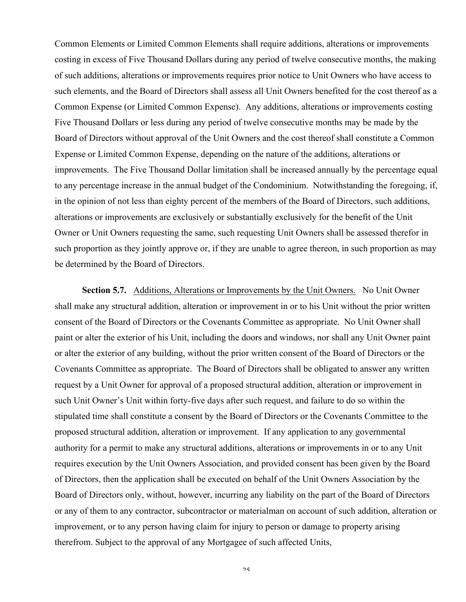Common Elements or Limited Common Elements shall require additions, alterations or improvements costing in excess of Five Thousand Dollars during any period of twelve consecutive months, the making of such additions, alterations or improvements requires prior notice to Unit Owners who have access to such elements, and the Board of Directors shall assess all Unit Owners benefited for the cost thereof as a Common Expense (or Limited Common Expense). Any additions, alterations or improvements costing Five Thousand Dollars or less during any period of twelve consecutive months may be made by the Board of Directors without approval of the Unit Owners and the cost thereof shall constitute a Common Expense or Limited Common Expense, depending on the nature of the additions, alterations or improvements. The Five Thousand Dollar limitation shall be increased annually by the percentage equal to any percentage increase in the annual budget of the Condominium. Notwithstanding the foregoing, if, in the opinion of not less than eighty percent of the members of the Board of Directors, such additions, alterations or improvements are exclusively or substantially exclusively for the benefit of the Unit Owner or Unit Owners requesting the same, such requesting Unit Owners shall be assessed therefor in such proportion as they jointly approve or, if they are unable to agree thereon, in such proportion as may be determined by the Board of Directors.

**Section 5.7.** Additions, Alterations or Improvements by the Unit Owners. No Unit Owner shall make any structural addition, alteration or improvement in or to his Unit without the prior written consent of the Board of Directors or the Covenants Committee as appropriate. No Unit Owner shall paint or alter the exterior of his Unit, including the doors and windows, nor shall any Unit Owner paint or alter the exterior of any building, without the prior written consent of the Board of Directors or the Covenants Committee as appropriate. The Board of Directors shall be obligated to answer any written request by a Unit Owner for approval of a proposed structural addition, alteration or improvement in such Unit Owner's Unit within forty-five days after such request, and failure to do so within the stipulated time shall constitute a consent by the Board of Directors or the Covenants Committee to the proposed structural addition, alteration or improvement. If any application to any governmental authority for a permit to make any structural additions, alterations or improvements in or to any Unit requires execution by the Unit Owners Association, and provided consent has been given by the Board of Directors, then the application shall be executed on behalf of the Unit Owners Association by the Board of Directors only, without, however, incurring any liability on the part of the Board of Directors or any of them to any contractor, subcontractor or materialman on account of such addition, alteration or improvement, or to any person having claim for injury to person or damage to property arising therefrom. Subject to the approval of any Mortgagee of such affected Units,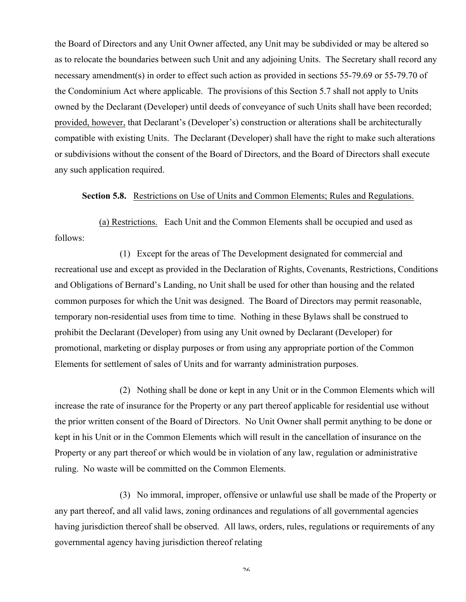the Board of Directors and any Unit Owner affected, any Unit may be subdivided or may be altered so as to relocate the boundaries between such Unit and any adjoining Units. The Secretary shall record any necessary amendment(s) in order to effect such action as provided in sections 55-79.69 or 55-79.70 of the Condominium Act where applicable. The provisions of this Section 5.7 shall not apply to Units owned by the Declarant (Developer) until deeds of conveyance of such Units shall have been recorded; provided, however, that Declarant's (Developer's) construction or alterations shall be architecturally compatible with existing Units. The Declarant (Developer) shall have the right to make such alterations or subdivisions without the consent of the Board of Directors, and the Board of Directors shall execute any such application required.

### **Section 5.8.** Restrictions on Use of Units and Common Elements; Rules and Regulations.

(a) Restrictions. Each Unit and the Common Elements shall be occupied and used as follows:

(1) Except for the areas of The Development designated for commercial and recreational use and except as provided in the Declaration of Rights, Covenants, Restrictions, Conditions and Obligations of Bernard's Landing, no Unit shall be used for other than housing and the related common purposes for which the Unit was designed. The Board of Directors may permit reasonable, temporary non-residential uses from time to time. Nothing in these Bylaws shall be construed to prohibit the Declarant (Developer) from using any Unit owned by Declarant (Developer) for promotional, marketing or display purposes or from using any appropriate portion of the Common Elements for settlement of sales of Units and for warranty administration purposes.

(2) Nothing shall be done or kept in any Unit or in the Common Elements which will increase the rate of insurance for the Property or any part thereof applicable for residential use without the prior written consent of the Board of Directors. No Unit Owner shall permit anything to be done or kept in his Unit or in the Common Elements which will result in the cancellation of insurance on the Property or any part thereof or which would be in violation of any law, regulation or administrative ruling. No waste will be committed on the Common Elements.

(3) No immoral, improper, offensive or unlawful use shall be made of the Property or any part thereof, and all valid laws, zoning ordinances and regulations of all governmental agencies having jurisdiction thereof shall be observed. All laws, orders, rules, regulations or requirements of any governmental agency having jurisdiction thereof relating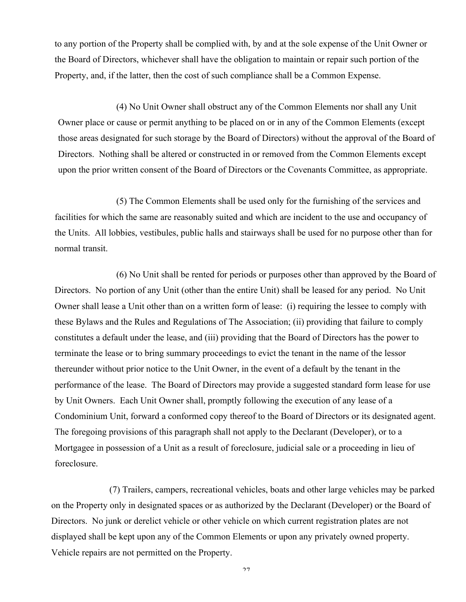to any portion of the Property shall be complied with, by and at the sole expense of the Unit Owner or the Board of Directors, whichever shall have the obligation to maintain or repair such portion of the Property, and, if the latter, then the cost of such compliance shall be a Common Expense.

(4) No Unit Owner shall obstruct any of the Common Elements nor shall any Unit Owner place or cause or permit anything to be placed on or in any of the Common Elements (except those areas designated for such storage by the Board of Directors) without the approval of the Board of Directors. Nothing shall be altered or constructed in or removed from the Common Elements except upon the prior written consent of the Board of Directors or the Covenants Committee, as appropriate.

(5) The Common Elements shall be used only for the furnishing of the services and facilities for which the same are reasonably suited and which are incident to the use and occupancy of the Units. All lobbies, vestibules, public halls and stairways shall be used for no purpose other than for normal transit.

(6) No Unit shall be rented for periods or purposes other than approved by the Board of Directors. No portion of any Unit (other than the entire Unit) shall be leased for any period. No Unit Owner shall lease a Unit other than on a written form of lease: (i) requiring the lessee to comply with these Bylaws and the Rules and Regulations of The Association; (ii) providing that failure to comply constitutes a default under the lease, and (iii) providing that the Board of Directors has the power to terminate the lease or to bring summary proceedings to evict the tenant in the name of the lessor thereunder without prior notice to the Unit Owner, in the event of a default by the tenant in the performance of the lease. The Board of Directors may provide a suggested standard form lease for use by Unit Owners. Each Unit Owner shall, promptly following the execution of any lease of a Condominium Unit, forward a conformed copy thereof to the Board of Directors or its designated agent. The foregoing provisions of this paragraph shall not apply to the Declarant (Developer), or to a Mortgagee in possession of a Unit as a result of foreclosure, judicial sale or a proceeding in lieu of foreclosure.

(7) Trailers, campers, recreational vehicles, boats and other large vehicles may be parked on the Property only in designated spaces or as authorized by the Declarant (Developer) or the Board of Directors. No junk or derelict vehicle or other vehicle on which current registration plates are not displayed shall be kept upon any of the Common Elements or upon any privately owned property. Vehicle repairs are not permitted on the Property.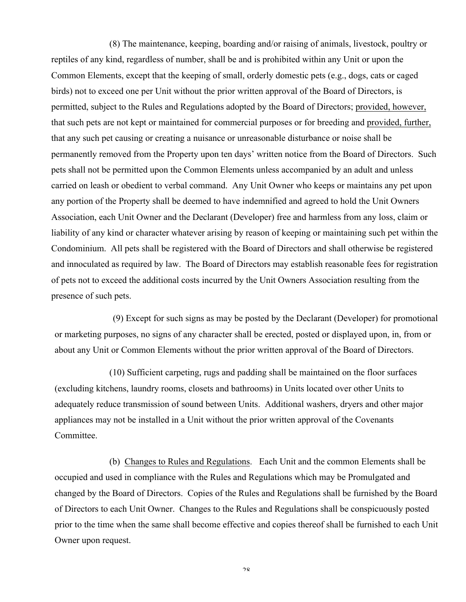(8) The maintenance, keeping, boarding and/or raising of animals, livestock, poultry or reptiles of any kind, regardless of number, shall be and is prohibited within any Unit or upon the Common Elements, except that the keeping of small, orderly domestic pets (e.g., dogs, cats or caged birds) not to exceed one per Unit without the prior written approval of the Board of Directors, is permitted, subject to the Rules and Regulations adopted by the Board of Directors; provided, however, that such pets are not kept or maintained for commercial purposes or for breeding and provided, further, that any such pet causing or creating a nuisance or unreasonable disturbance or noise shall be permanently removed from the Property upon ten days' written notice from the Board of Directors. Such pets shall not be permitted upon the Common Elements unless accompanied by an adult and unless carried on leash or obedient to verbal command. Any Unit Owner who keeps or maintains any pet upon any portion of the Property shall be deemed to have indemnified and agreed to hold the Unit Owners Association, each Unit Owner and the Declarant (Developer) free and harmless from any loss, claim or liability of any kind or character whatever arising by reason of keeping or maintaining such pet within the Condominium. All pets shall be registered with the Board of Directors and shall otherwise be registered and innoculated as required by law. The Board of Directors may establish reasonable fees for registration of pets not to exceed the additional costs incurred by the Unit Owners Association resulting from the presence of such pets.

(9) Except for such signs as may be posted by the Declarant (Developer) for promotional or marketing purposes, no signs of any character shall be erected, posted or displayed upon, in, from or about any Unit or Common Elements without the prior written approval of the Board of Directors.

(10) Sufficient carpeting, rugs and padding shall be maintained on the floor surfaces (excluding kitchens, laundry rooms, closets and bathrooms) in Units located over other Units to adequately reduce transmission of sound between Units. Additional washers, dryers and other major appliances may not be installed in a Unit without the prior written approval of the Covenants Committee.

(b) Changes to Rules and Regulations. Each Unit and the common Elements shall be occupied and used in compliance with the Rules and Regulations which may be Promulgated and changed by the Board of Directors. Copies of the Rules and Regulations shall be furnished by the Board of Directors to each Unit Owner. Changes to the Rules and Regulations shall be conspicuously posted prior to the time when the same shall become effective and copies thereof shall be furnished to each Unit Owner upon request.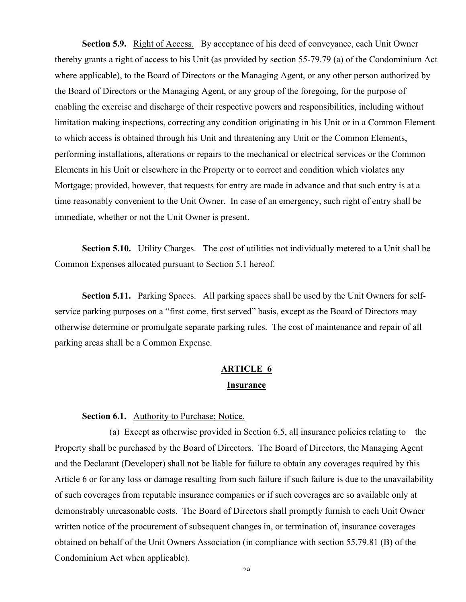**Section 5.9.** Right of Access. By acceptance of his deed of conveyance, each Unit Owner thereby grants a right of access to his Unit (as provided by section 55-79.79 (a) of the Condominium Act where applicable), to the Board of Directors or the Managing Agent, or any other person authorized by the Board of Directors or the Managing Agent, or any group of the foregoing, for the purpose of enabling the exercise and discharge of their respective powers and responsibilities, including without limitation making inspections, correcting any condition originating in his Unit or in a Common Element to which access is obtained through his Unit and threatening any Unit or the Common Elements, performing installations, alterations or repairs to the mechanical or electrical services or the Common Elements in his Unit or elsewhere in the Property or to correct and condition which violates any Mortgage; provided, however, that requests for entry are made in advance and that such entry is at a time reasonably convenient to the Unit Owner. In case of an emergency, such right of entry shall be immediate, whether or not the Unit Owner is present.

**Section 5.10.** Utility Charges. The cost of utilities not individually metered to a Unit shall be Common Expenses allocated pursuant to Section 5.1 hereof.

**Section 5.11.** Parking Spaces. All parking spaces shall be used by the Unit Owners for selfservice parking purposes on a "first come, first served" basis, except as the Board of Directors may otherwise determine or promulgate separate parking rules. The cost of maintenance and repair of all parking areas shall be a Common Expense.

# **ARTICLE 6 Insurance**

### Section 6.1. Authority to Purchase; Notice.

(a) Except as otherwise provided in Section 6.5, all insurance policies relating to the Property shall be purchased by the Board of Directors. The Board of Directors, the Managing Agent and the Declarant (Developer) shall not be liable for failure to obtain any coverages required by this Article 6 or for any loss or damage resulting from such failure if such failure is due to the unavailability of such coverages from reputable insurance companies or if such coverages are so available only at demonstrably unreasonable costs. The Board of Directors shall promptly furnish to each Unit Owner written notice of the procurement of subsequent changes in, or termination of, insurance coverages obtained on behalf of the Unit Owners Association (in compliance with section 55.79.81 (B) of the Condominium Act when applicable).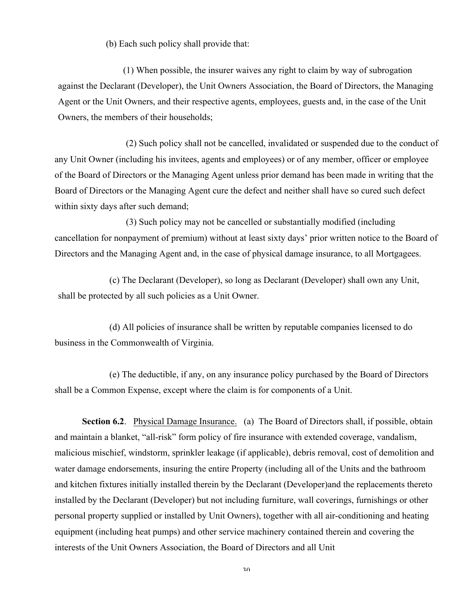(b) Each such policy shall provide that:

(1) When possible, the insurer waives any right to claim by way of subrogation against the Declarant (Developer), the Unit Owners Association, the Board of Directors, the Managing Agent or the Unit Owners, and their respective agents, employees, guests and, in the case of the Unit Owners, the members of their households;

(2) Such policy shall not be cancelled, invalidated or suspended due to the conduct of any Unit Owner (including his invitees, agents and employees) or of any member, officer or employee of the Board of Directors or the Managing Agent unless prior demand has been made in writing that the Board of Directors or the Managing Agent cure the defect and neither shall have so cured such defect within sixty days after such demand;

(3) Such policy may not be cancelled or substantially modified (including cancellation for nonpayment of premium) without at least sixty days' prior written notice to the Board of Directors and the Managing Agent and, in the case of physical damage insurance, to all Mortgagees.

(c) The Declarant (Developer), so long as Declarant (Developer) shall own any Unit, shall be protected by all such policies as a Unit Owner.

(d) All policies of insurance shall be written by reputable companies licensed to do business in the Commonwealth of Virginia.

(e) The deductible, if any, on any insurance policy purchased by the Board of Directors shall be a Common Expense, except where the claim is for components of a Unit.

**Section 6.2.** Physical Damage Insurance. (a) The Board of Directors shall, if possible, obtain and maintain a blanket, "all-risk" form policy of fire insurance with extended coverage, vandalism, malicious mischief, windstorm, sprinkler leakage (if applicable), debris removal, cost of demolition and water damage endorsements, insuring the entire Property (including all of the Units and the bathroom and kitchen fixtures initially installed therein by the Declarant (Developer)and the replacements thereto installed by the Declarant (Developer) but not including furniture, wall coverings, furnishings or other personal property supplied or installed by Unit Owners), together with all air-conditioning and heating equipment (including heat pumps) and other service machinery contained therein and covering the interests of the Unit Owners Association, the Board of Directors and all Unit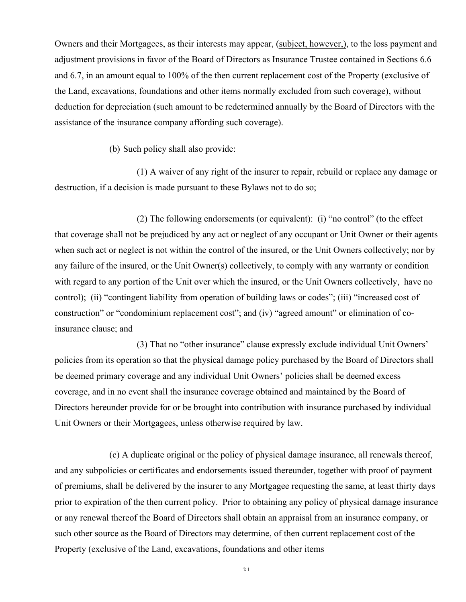Owners and their Mortgagees, as their interests may appear, (subject, however,), to the loss payment and adjustment provisions in favor of the Board of Directors as Insurance Trustee contained in Sections 6.6 and 6.7, in an amount equal to 100% of the then current replacement cost of the Property (exclusive of the Land, excavations, foundations and other items normally excluded from such coverage), without deduction for depreciation (such amount to be redetermined annually by the Board of Directors with the assistance of the insurance company affording such coverage).

(b) Such policy shall also provide:

(1) A waiver of any right of the insurer to repair, rebuild or replace any damage or destruction, if a decision is made pursuant to these Bylaws not to do so;

(2) The following endorsements (or equivalent): (i) "no control" (to the effect that coverage shall not be prejudiced by any act or neglect of any occupant or Unit Owner or their agents when such act or neglect is not within the control of the insured, or the Unit Owners collectively; nor by any failure of the insured, or the Unit Owner(s) collectively, to comply with any warranty or condition with regard to any portion of the Unit over which the insured, or the Unit Owners collectively, have no control); (ii) "contingent liability from operation of building laws or codes"; (iii) "increased cost of construction" or "condominium replacement cost"; and (iv) "agreed amount" or elimination of coinsurance clause; and

(3) That no "other insurance" clause expressly exclude individual Unit Owners' policies from its operation so that the physical damage policy purchased by the Board of Directors shall be deemed primary coverage and any individual Unit Owners' policies shall be deemed excess coverage, and in no event shall the insurance coverage obtained and maintained by the Board of Directors hereunder provide for or be brought into contribution with insurance purchased by individual Unit Owners or their Mortgagees, unless otherwise required by law.

(c) A duplicate original or the policy of physical damage insurance, all renewals thereof, and any subpolicies or certificates and endorsements issued thereunder, together with proof of payment of premiums, shall be delivered by the insurer to any Mortgagee requesting the same, at least thirty days prior to expiration of the then current policy. Prior to obtaining any policy of physical damage insurance or any renewal thereof the Board of Directors shall obtain an appraisal from an insurance company, or such other source as the Board of Directors may determine, of then current replacement cost of the Property (exclusive of the Land, excavations, foundations and other items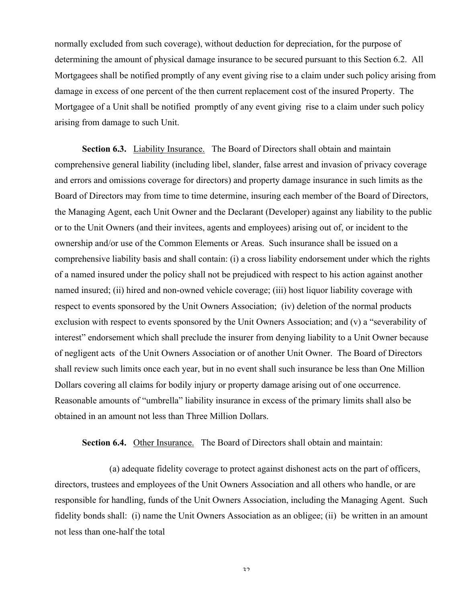normally excluded from such coverage), without deduction for depreciation, for the purpose of determining the amount of physical damage insurance to be secured pursuant to this Section 6.2. All Mortgagees shall be notified promptly of any event giving rise to a claim under such policy arising from damage in excess of one percent of the then current replacement cost of the insured Property. The Mortgagee of a Unit shall be notified promptly of any event giving rise to a claim under such policy arising from damage to such Unit.

**Section 6.3.** Liability Insurance. The Board of Directors shall obtain and maintain comprehensive general liability (including libel, slander, false arrest and invasion of privacy coverage and errors and omissions coverage for directors) and property damage insurance in such limits as the Board of Directors may from time to time determine, insuring each member of the Board of Directors, the Managing Agent, each Unit Owner and the Declarant (Developer) against any liability to the public or to the Unit Owners (and their invitees, agents and employees) arising out of, or incident to the ownership and/or use of the Common Elements or Areas. Such insurance shall be issued on a comprehensive liability basis and shall contain: (i) a cross liability endorsement under which the rights of a named insured under the policy shall not be prejudiced with respect to his action against another named insured; (ii) hired and non-owned vehicle coverage; (iii) host liquor liability coverage with respect to events sponsored by the Unit Owners Association; (iv) deletion of the normal products exclusion with respect to events sponsored by the Unit Owners Association; and (v) a "severability of interest" endorsement which shall preclude the insurer from denying liability to a Unit Owner because of negligent acts of the Unit Owners Association or of another Unit Owner. The Board of Directors shall review such limits once each year, but in no event shall such insurance be less than One Million Dollars covering all claims for bodily injury or property damage arising out of one occurrence. Reasonable amounts of "umbrella" liability insurance in excess of the primary limits shall also be obtained in an amount not less than Three Million Dollars.

**Section 6.4.** Other Insurance. The Board of Directors shall obtain and maintain:

(a) adequate fidelity coverage to protect against dishonest acts on the part of officers, directors, trustees and employees of the Unit Owners Association and all others who handle, or are responsible for handling, funds of the Unit Owners Association, including the Managing Agent. Such fidelity bonds shall: (i) name the Unit Owners Association as an obligee; (ii) be written in an amount not less than one-half the total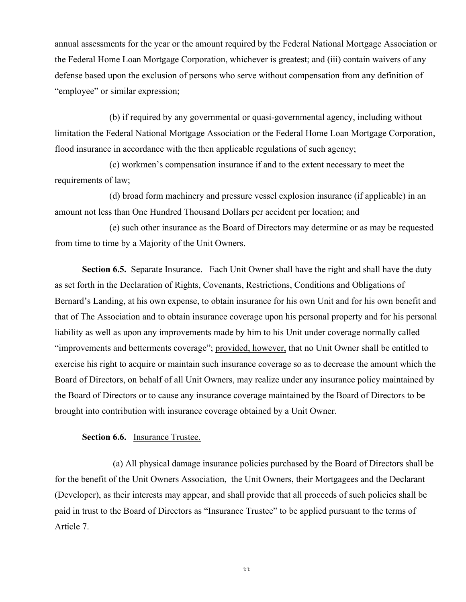annual assessments for the year or the amount required by the Federal National Mortgage Association or the Federal Home Loan Mortgage Corporation, whichever is greatest; and (iii) contain waivers of any defense based upon the exclusion of persons who serve without compensation from any definition of "employee" or similar expression;

(b) if required by any governmental or quasi-governmental agency, including without limitation the Federal National Mortgage Association or the Federal Home Loan Mortgage Corporation, flood insurance in accordance with the then applicable regulations of such agency;

(c) workmen's compensation insurance if and to the extent necessary to meet the requirements of law;

(d) broad form machinery and pressure vessel explosion insurance (if applicable) in an amount not less than One Hundred Thousand Dollars per accident per location; and

(e) such other insurance as the Board of Directors may determine or as may be requested from time to time by a Majority of the Unit Owners.

**Section 6.5.** Separate Insurance. Each Unit Owner shall have the right and shall have the duty as set forth in the Declaration of Rights, Covenants, Restrictions, Conditions and Obligations of Bernard's Landing, at his own expense, to obtain insurance for his own Unit and for his own benefit and that of The Association and to obtain insurance coverage upon his personal property and for his personal liability as well as upon any improvements made by him to his Unit under coverage normally called "improvements and betterments coverage"; provided, however, that no Unit Owner shall be entitled to exercise his right to acquire or maintain such insurance coverage so as to decrease the amount which the Board of Directors, on behalf of all Unit Owners, may realize under any insurance policy maintained by the Board of Directors or to cause any insurance coverage maintained by the Board of Directors to be brought into contribution with insurance coverage obtained by a Unit Owner.

## **Section 6.6.** Insurance Trustee.

(a) All physical damage insurance policies purchased by the Board of Directors shall be for the benefit of the Unit Owners Association, the Unit Owners, their Mortgagees and the Declarant (Developer), as their interests may appear, and shall provide that all proceeds of such policies shall be paid in trust to the Board of Directors as "Insurance Trustee" to be applied pursuant to the terms of Article 7.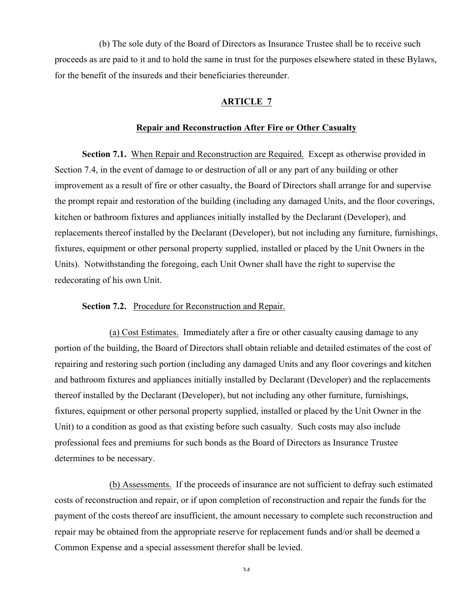(b) The sole duty of the Board of Directors as Insurance Trustee shall be to receive such proceeds as are paid to it and to hold the same in trust for the purposes elsewhere stated in these Bylaws, for the benefit of the insureds and their beneficiaries thereunder.

### **ARTICLE 7**

### **Repair and Reconstruction After Fire or Other Casualty**

**Section 7.1.** When Repair and Reconstruction are Required. Except as otherwise provided in Section 7.4, in the event of damage to or destruction of all or any part of any building or other improvement as a result of fire or other casualty, the Board of Directors shall arrange for and supervise the prompt repair and restoration of the building (including any damaged Units, and the floor coverings, kitchen or bathroom fixtures and appliances initially installed by the Declarant (Developer), and replacements thereof installed by the Declarant (Developer), but not including any furniture, furnishings, fixtures, equipment or other personal property supplied, installed or placed by the Unit Owners in the Units). Notwithstanding the foregoing, each Unit Owner shall have the right to supervise the redecorating of his own Unit.

## **Section 7.2.** Procedure for Reconstruction and Repair.

(a) Cost Estimates. Immediately after a fire or other casualty causing damage to any portion of the building, the Board of Directors shall obtain reliable and detailed estimates of the cost of repairing and restoring such portion (including any damaged Units and any floor coverings and kitchen and bathroom fixtures and appliances initially installed by Declarant (Developer) and the replacements thereof installed by the Declarant (Developer), but not including any other furniture, furnishings, fixtures, equipment or other personal property supplied, installed or placed by the Unit Owner in the Unit) to a condition as good as that existing before such casualty. Such costs may also include professional fees and premiums for such bonds as the Board of Directors as Insurance Trustee determines to be necessary.

(b) Assessments. If the proceeds of insurance are not sufficient to defray such estimated costs of reconstruction and repair, or if upon completion of reconstruction and repair the funds for the payment of the costs thereof are insufficient, the amount necessary to complete such reconstruction and repair may be obtained from the appropriate reserve for replacement funds and/or shall be deemed a Common Expense and a special assessment therefor shall be levied.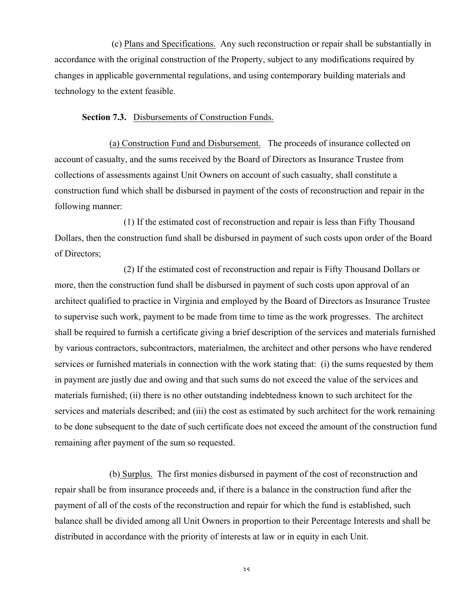(c) Plans and Specifications. Any such reconstruction or repair shall be substantially in accordance with the original construction of the Property, subject to any modifications required by changes in applicable governmental regulations, and using contemporary building materials and technology to the extent feasible.

## **Section 7.3.** Disbursements of Construction Funds.

(a) Construction Fund and Disbursement. The proceeds of insurance collected on account of casualty, and the sums received by the Board of Directors as Insurance Trustee from collections of assessments against Unit Owners on account of such casualty, shall constitute a construction fund which shall be disbursed in payment of the costs of reconstruction and repair in the following manner:

(1) If the estimated cost of reconstruction and repair is less than Fifty Thousand Dollars, then the construction fund shall be disbursed in payment of such costs upon order of the Board of Directors;

(2) If the estimated cost of reconstruction and repair is Fifty Thousand Dollars or more, then the construction fund shall be disbursed in payment of such costs upon approval of an architect qualified to practice in Virginia and employed by the Board of Directors as Insurance Trustee to supervise such work, payment to be made from time to time as the work progresses. The architect shall be required to furnish a certificate giving a brief description of the services and materials furnished by various contractors, subcontractors, materialmen, the architect and other persons who have rendered services or furnished materials in connection with the work stating that: (i) the sums requested by them in payment are justly due and owing and that such sums do not exceed the value of the services and materials furnished; (ii) there is no other outstanding indebtedness known to such architect for the services and materials described; and (iii) the cost as estimated by such architect for the work remaining to be done subsequent to the date of such certificate does not exceed the amount of the construction fund remaining after payment of the sum so requested.

(b) Surplus. The first monies disbursed in payment of the cost of reconstruction and repair shall be from insurance proceeds and, if there is a balance in the construction fund after the payment of all of the costs of the reconstruction and repair for which the fund is established, such balance shall be divided among all Unit Owners in proportion to their Percentage Interests and shall be distributed in accordance with the priority of interests at law or in equity in each Unit.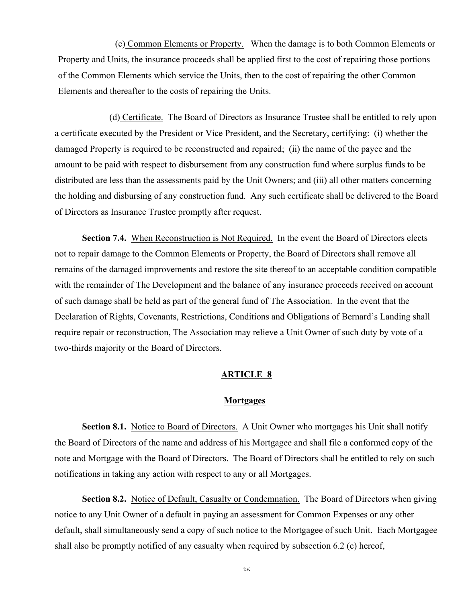(c) Common Elements or Property. When the damage is to both Common Elements or Property and Units, the insurance proceeds shall be applied first to the cost of repairing those portions of the Common Elements which service the Units, then to the cost of repairing the other Common Elements and thereafter to the costs of repairing the Units.

(d) Certificate. The Board of Directors as Insurance Trustee shall be entitled to rely upon a certificate executed by the President or Vice President, and the Secretary, certifying: (i) whether the damaged Property is required to be reconstructed and repaired; (ii) the name of the payee and the amount to be paid with respect to disbursement from any construction fund where surplus funds to be distributed are less than the assessments paid by the Unit Owners; and (iii) all other matters concerning the holding and disbursing of any construction fund. Any such certificate shall be delivered to the Board of Directors as Insurance Trustee promptly after request.

**Section 7.4.** When Reconstruction is Not Required. In the event the Board of Directors elects not to repair damage to the Common Elements or Property, the Board of Directors shall remove all remains of the damaged improvements and restore the site thereof to an acceptable condition compatible with the remainder of The Development and the balance of any insurance proceeds received on account of such damage shall be held as part of the general fund of The Association. In the event that the Declaration of Rights, Covenants, Restrictions, Conditions and Obligations of Bernard's Landing shall require repair or reconstruction, The Association may relieve a Unit Owner of such duty by vote of a two-thirds majority or the Board of Directors.

### **ARTICLE 8**

#### **Mortgages**

**Section 8.1.** Notice to Board of Directors. A Unit Owner who mortgages his Unit shall notify the Board of Directors of the name and address of his Mortgagee and shall file a conformed copy of the note and Mortgage with the Board of Directors. The Board of Directors shall be entitled to rely on such notifications in taking any action with respect to any or all Mortgages.

**Section 8.2.** Notice of Default, Casualty or Condemnation. The Board of Directors when giving notice to any Unit Owner of a default in paying an assessment for Common Expenses or any other default, shall simultaneously send a copy of such notice to the Mortgagee of such Unit. Each Mortgagee shall also be promptly notified of any casualty when required by subsection 6.2 (c) hereof,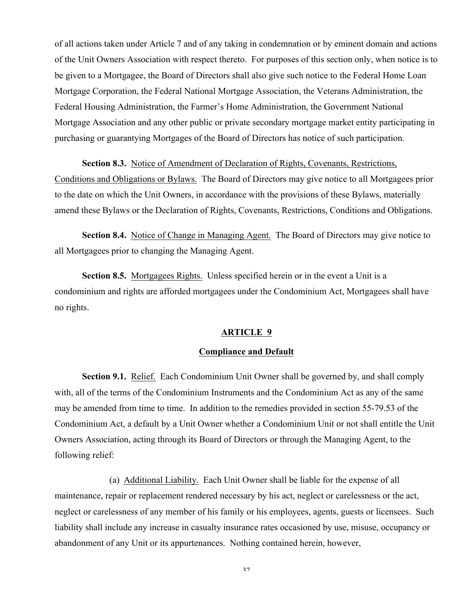of all actions taken under Article 7 and of any taking in condemnation or by eminent domain and actions of the Unit Owners Association with respect thereto. For purposes of this section only, when notice is to be given to a Mortgagee, the Board of Directors shall also give such notice to the Federal Home Loan Mortgage Corporation, the Federal National Mortgage Association, the Veterans Administration, the Federal Housing Administration, the Farmer's Home Administration, the Government National Mortgage Association and any other public or private secondary mortgage market entity participating in purchasing or guarantying Mortgages of the Board of Directors has notice of such participation.

#### **Section 8.3.** Notice of Amendment of Declaration of Rights, Covenants, Restrictions,

Conditions and Obligations or Bylaws. The Board of Directors may give notice to all Mortgagees prior to the date on which the Unit Owners, in accordance with the provisions of these Bylaws, materially amend these Bylaws or the Declaration of Rights, Covenants, Restrictions, Conditions and Obligations.

**Section 8.4.** Notice of Change in Managing Agent. The Board of Directors may give notice to all Mortgagees prior to changing the Managing Agent.

**Section 8.5.** Mortgagees Rights. Unless specified herein or in the event a Unit is a condominium and rights are afforded mortgagees under the Condominium Act, Mortgagees shall have no rights.

### **ARTICLE 9**

## **Compliance and Default**

**Section 9.1.** Relief. Each Condominium Unit Owner shall be governed by, and shall comply with, all of the terms of the Condominium Instruments and the Condominium Act as any of the same may be amended from time to time. In addition to the remedies provided in section 55-79.53 of the Condominium Act, a default by a Unit Owner whether a Condominium Unit or not shall entitle the Unit Owners Association, acting through its Board of Directors or through the Managing Agent, to the following relief:

(a) Additional Liability. Each Unit Owner shall be liable for the expense of all maintenance, repair or replacement rendered necessary by his act, neglect or carelessness or the act, neglect or carelessness of any member of his family or his employees, agents, guests or licensees. Such liability shall include any increase in casualty insurance rates occasioned by use, misuse, occupancy or abandonment of any Unit or its appurtenances. Nothing contained herein, however,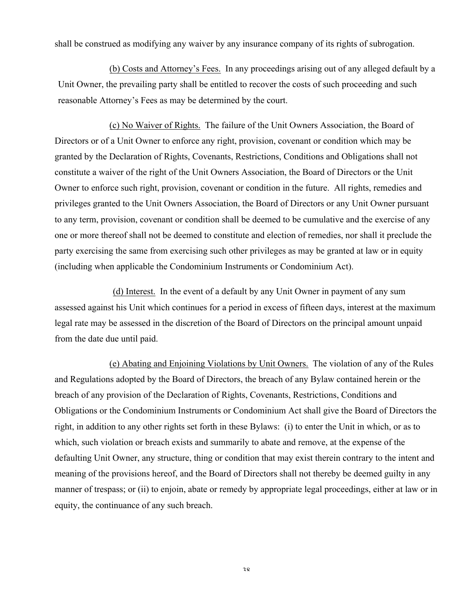shall be construed as modifying any waiver by any insurance company of its rights of subrogation.

(b) Costs and Attorney's Fees. In any proceedings arising out of any alleged default by a Unit Owner, the prevailing party shall be entitled to recover the costs of such proceeding and such reasonable Attorney's Fees as may be determined by the court.

(c) No Waiver of Rights. The failure of the Unit Owners Association, the Board of Directors or of a Unit Owner to enforce any right, provision, covenant or condition which may be granted by the Declaration of Rights, Covenants, Restrictions, Conditions and Obligations shall not constitute a waiver of the right of the Unit Owners Association, the Board of Directors or the Unit Owner to enforce such right, provision, covenant or condition in the future. All rights, remedies and privileges granted to the Unit Owners Association, the Board of Directors or any Unit Owner pursuant to any term, provision, covenant or condition shall be deemed to be cumulative and the exercise of any one or more thereof shall not be deemed to constitute and election of remedies, nor shall it preclude the party exercising the same from exercising such other privileges as may be granted at law or in equity (including when applicable the Condominium Instruments or Condominium Act).

(d) Interest. In the event of a default by any Unit Owner in payment of any sum assessed against his Unit which continues for a period in excess of fifteen days, interest at the maximum legal rate may be assessed in the discretion of the Board of Directors on the principal amount unpaid from the date due until paid.

(e) Abating and Enjoining Violations by Unit Owners. The violation of any of the Rules and Regulations adopted by the Board of Directors, the breach of any Bylaw contained herein or the breach of any provision of the Declaration of Rights, Covenants, Restrictions, Conditions and Obligations or the Condominium Instruments or Condominium Act shall give the Board of Directors the right, in addition to any other rights set forth in these Bylaws: (i) to enter the Unit in which, or as to which, such violation or breach exists and summarily to abate and remove, at the expense of the defaulting Unit Owner, any structure, thing or condition that may exist therein contrary to the intent and meaning of the provisions hereof, and the Board of Directors shall not thereby be deemed guilty in any manner of trespass; or (ii) to enjoin, abate or remedy by appropriate legal proceedings, either at law or in equity, the continuance of any such breach.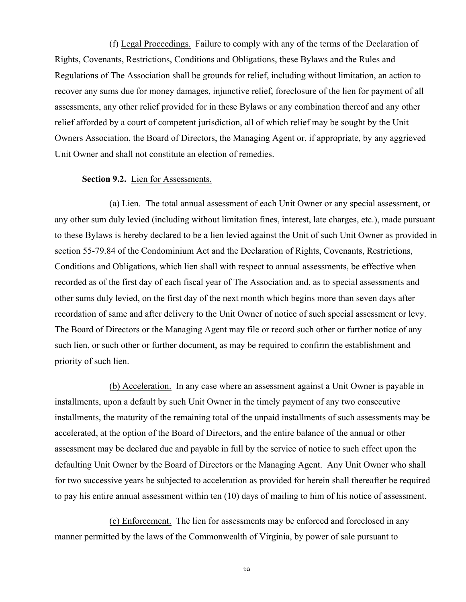(f) Legal Proceedings. Failure to comply with any of the terms of the Declaration of Rights, Covenants, Restrictions, Conditions and Obligations, these Bylaws and the Rules and Regulations of The Association shall be grounds for relief, including without limitation, an action to recover any sums due for money damages, injunctive relief, foreclosure of the lien for payment of all assessments, any other relief provided for in these Bylaws or any combination thereof and any other relief afforded by a court of competent jurisdiction, all of which relief may be sought by the Unit Owners Association, the Board of Directors, the Managing Agent or, if appropriate, by any aggrieved Unit Owner and shall not constitute an election of remedies.

#### **Section 9.2.** Lien for Assessments.

(a) Lien. The total annual assessment of each Unit Owner or any special assessment, or any other sum duly levied (including without limitation fines, interest, late charges, etc.), made pursuant to these Bylaws is hereby declared to be a lien levied against the Unit of such Unit Owner as provided in section 55-79.84 of the Condominium Act and the Declaration of Rights, Covenants, Restrictions, Conditions and Obligations, which lien shall with respect to annual assessments, be effective when recorded as of the first day of each fiscal year of The Association and, as to special assessments and other sums duly levied, on the first day of the next month which begins more than seven days after recordation of same and after delivery to the Unit Owner of notice of such special assessment or levy. The Board of Directors or the Managing Agent may file or record such other or further notice of any such lien, or such other or further document, as may be required to confirm the establishment and priority of such lien.

(b) Acceleration. In any case where an assessment against a Unit Owner is payable in installments, upon a default by such Unit Owner in the timely payment of any two consecutive installments, the maturity of the remaining total of the unpaid installments of such assessments may be accelerated, at the option of the Board of Directors, and the entire balance of the annual or other assessment may be declared due and payable in full by the service of notice to such effect upon the defaulting Unit Owner by the Board of Directors or the Managing Agent. Any Unit Owner who shall for two successive years be subjected to acceleration as provided for herein shall thereafter be required to pay his entire annual assessment within ten (10) days of mailing to him of his notice of assessment.

(c) Enforcement. The lien for assessments may be enforced and foreclosed in any manner permitted by the laws of the Commonwealth of Virginia, by power of sale pursuant to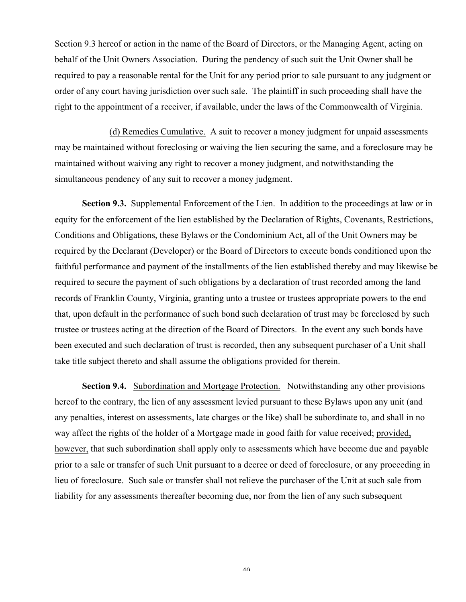Section 9.3 hereof or action in the name of the Board of Directors, or the Managing Agent, acting on behalf of the Unit Owners Association. During the pendency of such suit the Unit Owner shall be required to pay a reasonable rental for the Unit for any period prior to sale pursuant to any judgment or order of any court having jurisdiction over such sale. The plaintiff in such proceeding shall have the right to the appointment of a receiver, if available, under the laws of the Commonwealth of Virginia.

(d) Remedies Cumulative. A suit to recover a money judgment for unpaid assessments may be maintained without foreclosing or waiving the lien securing the same, and a foreclosure may be maintained without waiving any right to recover a money judgment, and notwithstanding the simultaneous pendency of any suit to recover a money judgment.

**Section 9.3.** Supplemental Enforcement of the Lien. In addition to the proceedings at law or in equity for the enforcement of the lien established by the Declaration of Rights, Covenants, Restrictions, Conditions and Obligations, these Bylaws or the Condominium Act, all of the Unit Owners may be required by the Declarant (Developer) or the Board of Directors to execute bonds conditioned upon the faithful performance and payment of the installments of the lien established thereby and may likewise be required to secure the payment of such obligations by a declaration of trust recorded among the land records of Franklin County, Virginia, granting unto a trustee or trustees appropriate powers to the end that, upon default in the performance of such bond such declaration of trust may be foreclosed by such trustee or trustees acting at the direction of the Board of Directors. In the event any such bonds have been executed and such declaration of trust is recorded, then any subsequent purchaser of a Unit shall take title subject thereto and shall assume the obligations provided for therein.

**Section 9.4.** Subordination and Mortgage Protection. Notwithstanding any other provisions hereof to the contrary, the lien of any assessment levied pursuant to these Bylaws upon any unit (and any penalties, interest on assessments, late charges or the like) shall be subordinate to, and shall in no way affect the rights of the holder of a Mortgage made in good faith for value received; provided, however, that such subordination shall apply only to assessments which have become due and payable prior to a sale or transfer of such Unit pursuant to a decree or deed of foreclosure, or any proceeding in lieu of foreclosure. Such sale or transfer shall not relieve the purchaser of the Unit at such sale from liability for any assessments thereafter becoming due, nor from the lien of any such subsequent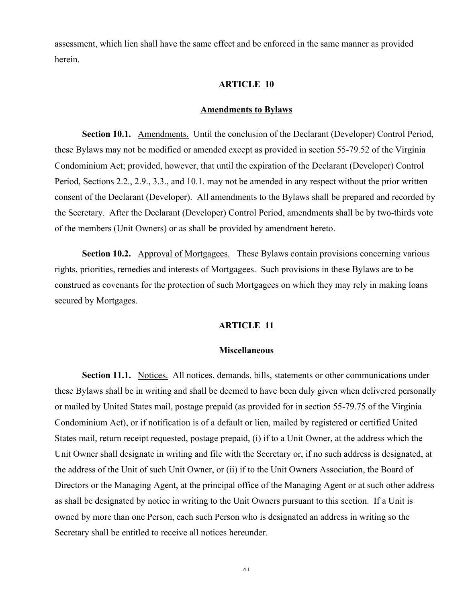assessment, which lien shall have the same effect and be enforced in the same manner as provided herein.

## **ARTICLE 10**

### **Amendments to Bylaws**

**Section 10.1.** Amendments. Until the conclusion of the Declarant (Developer) Control Period, these Bylaws may not be modified or amended except as provided in section 55-79.52 of the Virginia Condominium Act; provided, however, that until the expiration of the Declarant (Developer) Control Period, Sections 2.2., 2.9., 3.3., and 10.1. may not be amended in any respect without the prior written consent of the Declarant (Developer). All amendments to the Bylaws shall be prepared and recorded by the Secretary. After the Declarant (Developer) Control Period, amendments shall be by two-thirds vote of the members (Unit Owners) or as shall be provided by amendment hereto.

**Section 10.2.** Approval of Mortgagees. These Bylaws contain provisions concerning various rights, priorities, remedies and interests of Mortgagees. Such provisions in these Bylaws are to be construed as covenants for the protection of such Mortgagees on which they may rely in making loans secured by Mortgages.

### **ARTICLE 11**

### **Miscellaneous**

**Section 11.1.** Notices. All notices, demands, bills, statements or other communications under these Bylaws shall be in writing and shall be deemed to have been duly given when delivered personally or mailed by United States mail, postage prepaid (as provided for in section 55-79.75 of the Virginia Condominium Act), or if notification is of a default or lien, mailed by registered or certified United States mail, return receipt requested, postage prepaid, (i) if to a Unit Owner, at the address which the Unit Owner shall designate in writing and file with the Secretary or, if no such address is designated, at the address of the Unit of such Unit Owner, or (ii) if to the Unit Owners Association, the Board of Directors or the Managing Agent, at the principal office of the Managing Agent or at such other address as shall be designated by notice in writing to the Unit Owners pursuant to this section. If a Unit is owned by more than one Person, each such Person who is designated an address in writing so the Secretary shall be entitled to receive all notices hereunder.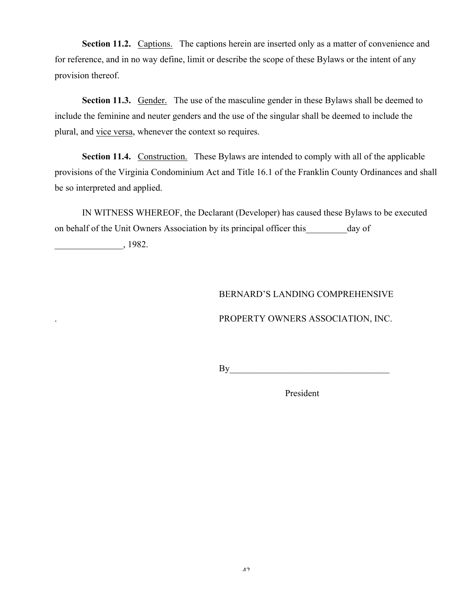**Section 11.2.** Captions. The captions herein are inserted only as a matter of convenience and for reference, and in no way define, limit or describe the scope of these Bylaws or the intent of any provision thereof.

**Section 11.3.** Gender. The use of the masculine gender in these Bylaws shall be deemed to include the feminine and neuter genders and the use of the singular shall be deemed to include the plural, and vice versa, whenever the context so requires.

**Section 11.4.** Construction. These Bylaws are intended to comply with all of the applicable provisions of the Virginia Condominium Act and Title 16.1 of the Franklin County Ordinances and shall be so interpreted and applied.

IN WITNESS WHEREOF, the Declarant (Developer) has caused these Bylaws to be executed on behalf of the Unit Owners Association by its principal officer this day of

\_\_\_\_\_\_\_\_\_\_\_\_\_\_\_, 1982.

## BERNARD'S LANDING COMPREHENSIVE

## . PROPERTY OWNERS ASSOCIATION, INC.

 $By$ 

President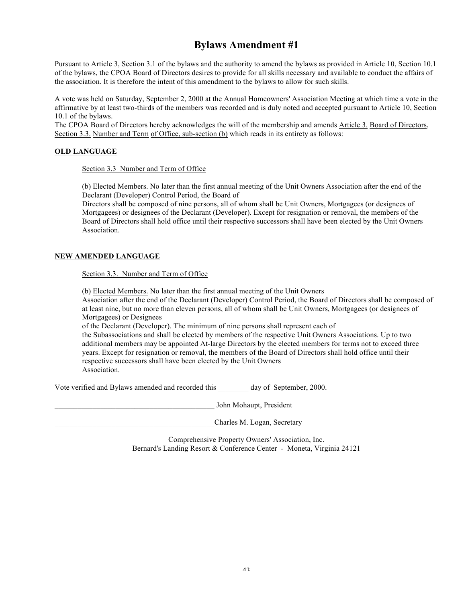# **Bylaws Amendment #1**

Pursuant to Article 3, Section 3.1 of the bylaws and the authority to amend the bylaws as provided in Article 10, Section 10.1 of the bylaws, the CPOA Board of Directors desires to provide for all skills necessary and available to conduct the affairs of the association. It is therefore the intent of this amendment to the bylaws to allow for such skills.

A vote was held on Saturday, September 2, 2000 at the Annual Homeowners' Association Meeting at which time a vote in the affirmative by at least two-thirds of the members was recorded and is duly noted and accepted pursuant to Article 10, Section 10.1 of the bylaws.

The CPOA Board of Directors hereby acknowledges the will of the membership and amends Article 3. Board of Directors, Section 3.3. Number and Term of Office, sub-section (b) which reads in its entirety as follows:

#### **OLD LANGUAGE**

Section 3.3 Number and Term of Office

(b) Elected Members. No later than the first annual meeting of the Unit Owners Association after the end of the Declarant (Developer) Control Period, the Board of

Directors shall be composed of nine persons, all of whom shall be Unit Owners, Mortgagees (or designees of Mortgagees) or designees of the Declarant (Developer). Except for resignation or removal, the members of the Board of Directors shall hold office until their respective successors shall have been elected by the Unit Owners Association.

#### **NEW AMENDED LANGUAGE**

Section 3.3. Number and Term of Office

(b) Elected Members. No later than the first annual meeting of the Unit Owners

Association after the end of the Declarant (Developer) Control Period, the Board of Directors shall be composed of at least nine, but no more than eleven persons, all of whom shall be Unit Owners, Mortgagees (or designees of Mortgagees) or Designees

of the Declarant (Developer). The minimum of nine persons shall represent each of

the Subassociations and shall be elected by members of the respective Unit Owners Associations. Up to two additional members may be appointed At-large Directors by the elected members for terms not to exceed three years. Except for resignation or removal, the members of the Board of Directors shall hold office until their respective successors shall have been elected by the Unit Owners **Association** 

Vote verified and Bylaws amended and recorded this day of September, 2000.

\_\_\_\_\_\_\_\_\_\_\_\_\_\_\_\_\_\_\_\_\_\_\_\_\_\_\_\_\_\_\_\_\_\_\_\_\_\_\_\_\_\_ John Mohaupt, President

Charles M. Logan, Secretary

Comprehensive Property Owners' Association, Inc. Bernard's Landing Resort & Conference Center - Moneta, Virginia 24121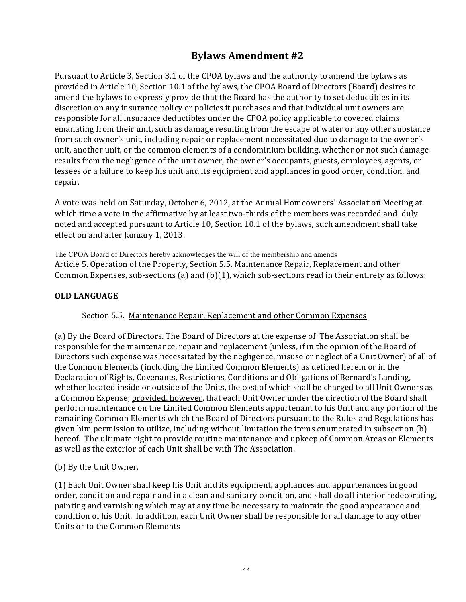# **Bylaws** Amendment #2

Pursuant to Article 3, Section 3.1 of the CPOA bylaws and the authority to amend the bylaws as provided in Article 10, Section 10.1 of the bylaws, the CPOA Board of Directors (Board) desires to amend the bylaws to expressly provide that the Board has the authority to set deductibles in its discretion on any insurance policy or policies it purchases and that individual unit owners are responsible for all insurance deductibles under the CPOA policy applicable to covered claims emanating from their unit, such as damage resulting from the escape of water or any other substance from such owner's unit, including repair or replacement necessitated due to damage to the owner's unit, another unit, or the common elements of a condominium building, whether or not such damage results from the negligence of the unit owner, the owner's occupants, guests, employees, agents, or lessees or a failure to keep his unit and its equipment and appliances in good order, condition, and repair. 

A vote was held on Saturday, October 6, 2012, at the Annual Homeowners' Association Meeting at which time a vote in the affirmative by at least two-thirds of the members was recorded and duly noted and accepted pursuant to Article 10, Section 10.1 of the bylaws, such amendment shall take effect on and after January 1, 2013.

The CPOA Board of Directors hereby acknowledges the will of the membership and amends Article 5. Operation of the Property, Section 5.5. Maintenance Repair, Replacement and other Common Expenses, sub-sections (a) and (b)(1), which sub-sections read in their entirety as follows:

## **OLD LANGUAGE**

## Section 5.5. Maintenance Repair, Replacement and other Common Expenses

(a) By the Board of Directors. The Board of Directors at the expense of The Association shall be responsible for the maintenance, repair and replacement (unless, if in the opinion of the Board of Directors such expense was necessitated by the negligence, misuse or neglect of a Unit Owner) of all of the Common Elements (including the Limited Common Elements) as defined herein or in the Declaration of Rights, Covenants, Restrictions, Conditions and Obligations of Bernard's Landing, whether located inside or outside of the Units, the cost of which shall be charged to all Unit Owners as a Common Expense; provided, however, that each Unit Owner under the direction of the Board shall perform maintenance on the Limited Common Elements appurtenant to his Unit and any portion of the remaining Common Elements which the Board of Directors pursuant to the Rules and Regulations has given him permission to utilize, including without limitation the items enumerated in subsection  $(b)$ hereof. The ultimate right to provide routine maintenance and upkeep of Common Areas or Elements as well as the exterior of each Unit shall be with The Association.

## (b) By the Unit Owner.

(1) Each Unit Owner shall keep his Unit and its equipment, appliances and appurtenances in good order, condition and repair and in a clean and sanitary condition, and shall do all interior redecorating, painting and varnishing which may at any time be necessary to maintain the good appearance and condition of his Unit. In addition, each Unit Owner shall be responsible for all damage to any other Units or to the Common Elements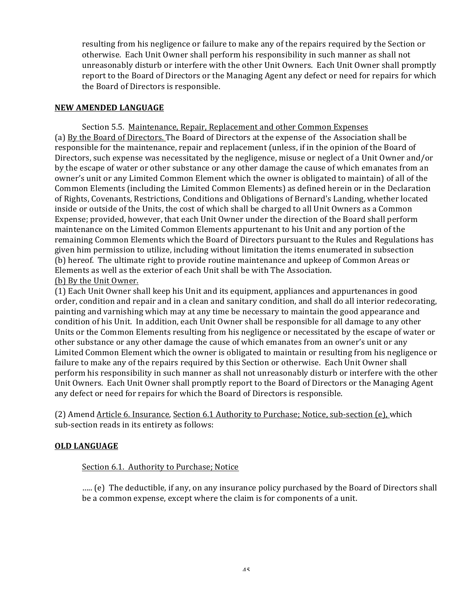resulting from his negligence or failure to make any of the repairs required by the Section or otherwise. Each Unit Owner shall perform his responsibility in such manner as shall not unreasonably disturb or interfere with the other Unit Owners. Each Unit Owner shall promptly report to the Board of Directors or the Managing Agent any defect or need for repairs for which the Board of Directors is responsible.

## **NEW AMENDED LANGUAGE**

Section 5.5. Maintenance, Repair, Replacement and other Common Expenses (a) By the Board of Directors. The Board of Directors at the expense of the Association shall be responsible for the maintenance, repair and replacement (unless, if in the opinion of the Board of Directors, such expense was necessitated by the negligence, misuse or neglect of a Unit Owner and/or by the escape of water or other substance or any other damage the cause of which emanates from an owner's unit or any Limited Common Element which the owner is obligated to maintain) of all of the Common Elements (including the Limited Common Elements) as defined herein or in the Declaration of Rights, Covenants, Restrictions, Conditions and Obligations of Bernard's Landing, whether located inside or outside of the Units, the cost of which shall be charged to all Unit Owners as a Common Expense; provided, however, that each Unit Owner under the direction of the Board shall perform maintenance on the Limited Common Elements appurtenant to his Unit and any portion of the remaining Common Elements which the Board of Directors pursuant to the Rules and Regulations has given him permission to utilize, including without limitation the items enumerated in subsection (b) hereof. The ultimate right to provide routine maintenance and upkeep of Common Areas or Elements as well as the exterior of each Unit shall be with The Association. (b) By the Unit Owner.

(1) Each Unit Owner shall keep his Unit and its equipment, appliances and appurtenances in good order, condition and repair and in a clean and sanitary condition, and shall do all interior redecorating, painting and varnishing which may at any time be necessary to maintain the good appearance and condition of his Unit. In addition, each Unit Owner shall be responsible for all damage to any other Units or the Common Elements resulting from his negligence or necessitated by the escape of water or other substance or any other damage the cause of which emanates from an owner's unit or any Limited Common Element which the owner is obligated to maintain or resulting from his negligence or failure to make any of the repairs required by this Section or otherwise. Each Unit Owner shall perform his responsibility in such manner as shall not unreasonably disturb or interfere with the other Unit Owners. Each Unit Owner shall promptly report to the Board of Directors or the Managing Agent any defect or need for repairs for which the Board of Directors is responsible.

(2) Amend Article 6. Insurance, Section 6.1 Authority to Purchase; Notice, sub-section (e), which sub-section reads in its entirety as follows:

## **OLD LANGUAGE**

## Section 6.1. Authority to Purchase; Notice

..... (e) The deductible, if any, on any insurance policy purchased by the Board of Directors shall be a common expense, except where the claim is for components of a unit.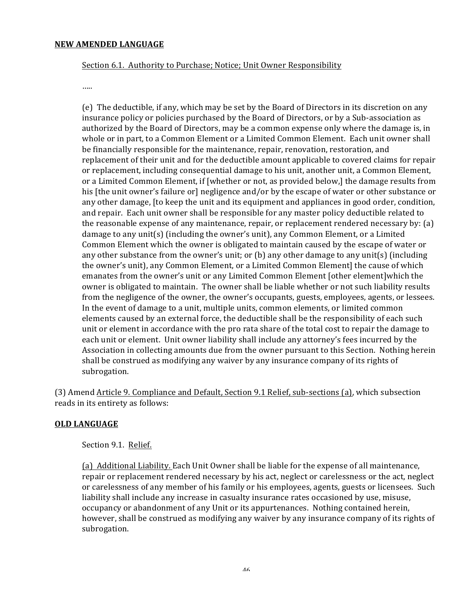#### **NEW AMENDED LANGUAGE**

### Section 6.1. Authority to Purchase; Notice; Unit Owner Responsibility

….. 

(e) The deductible, if any, which may be set by the Board of Directors in its discretion on any insurance policy or policies purchased by the Board of Directors, or by a Sub-association as authorized by the Board of Directors, may be a common expense only where the damage is, in whole or in part, to a Common Element or a Limited Common Element. Each unit owner shall be financially responsible for the maintenance, repair, renovation, restoration, and replacement of their unit and for the deductible amount applicable to covered claims for repair or replacement, including consequential damage to his unit, another unit, a Common Element, or a Limited Common Element, if [whether or not, as provided below,] the damage results from his [the unit owner's failure or] negligence and/or by the escape of water or other substance or any other damage, [to keep the unit and its equipment and appliances in good order, condition, and repair. Each unit owner shall be responsible for any master policy deductible related to the reasonable expense of any maintenance, repair, or replacement rendered necessary by:  $(a)$ damage to any unit(s) (including the owner's unit), any Common Element, or a Limited Common Element which the owner is obligated to maintain caused by the escape of water or any other substance from the owner's unit; or  $(b)$  any other damage to any unit(s) (including the owner's unit), any Common Element, or a Limited Common Element] the cause of which emanates from the owner's unit or any Limited Common Element [other element]which the owner is obligated to maintain. The owner shall be liable whether or not such liability results from the negligence of the owner, the owner's occupants, guests, employees, agents, or lessees. In the event of damage to a unit, multiple units, common elements, or limited common elements caused by an external force, the deductible shall be the responsibility of each such unit or element in accordance with the pro rata share of the total cost to repair the damage to each unit or element. Unit owner liability shall include any attorney's fees incurred by the Association in collecting amounts due from the owner pursuant to this Section. Nothing herein shall be construed as modifying any waiver by any insurance company of its rights of subrogation.

(3) Amend Article 9. Compliance and Default, Section 9.1 Relief, sub-sections (a), which subsection reads in its entirety as follows:

## **OLD LANGUAGE**

### Section 9.1. Relief.

(a) Additional Liability. Each Unit Owner shall be liable for the expense of all maintenance, repair or replacement rendered necessary by his act, neglect or carelessness or the act, neglect or carelessness of any member of his family or his employees, agents, guests or licensees. Such liability shall include any increase in casualty insurance rates occasioned by use, misuse, occupancy or abandonment of any Unit or its appurtenances. Nothing contained herein, however, shall be construed as modifying any waiver by any insurance company of its rights of subrogation.